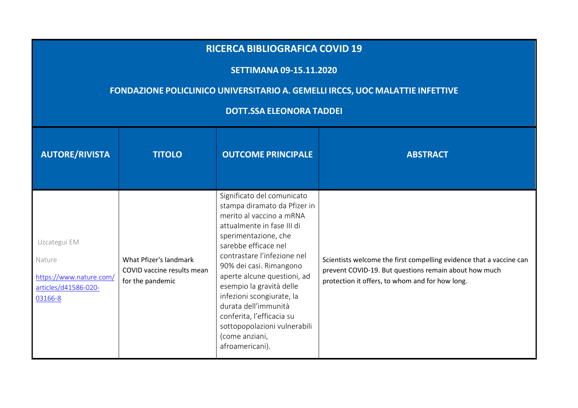## **RICERCA BIBLIOGRAFICA COVID <sup>19</sup> SETTIMANA 09-15.11.2020 FONDAZIONE POLICLINICO UNIVERSITARIO A. GEMELLI IRCCS, UOC MALATTIE INFETTIVE DOTT.SSA ELEONORA TADDEI AUTORE/RIVISTA TITOLO PRINCIPALE ABSTRACT ABSTRACT**  Uzcategui EM Nature https://www.nature.com/articles/d41586-020-03166-8What Pfizer's landmark COVID vaccine results mean for the pandemic Significato del comunicato stampa diramato da Pfizer in merito al vaccino a mRNA attualmente in fase III di sperimentazione, che sarebbe efficace nel contrastare l'infezione nel 90% dei casi. Rimangono aperte alcune questioni, ad esempio la gravità delle infezioni scongiurate, la durata dell'immunità conferita, l'efficacia su sottopopolazioni vulnerabili Scientists welcome the first compelling evidence that a vaccine can prevent COVID-19. But questions remain about how much protection it offers, to whom and for how long.

(come anziani, afroamericani).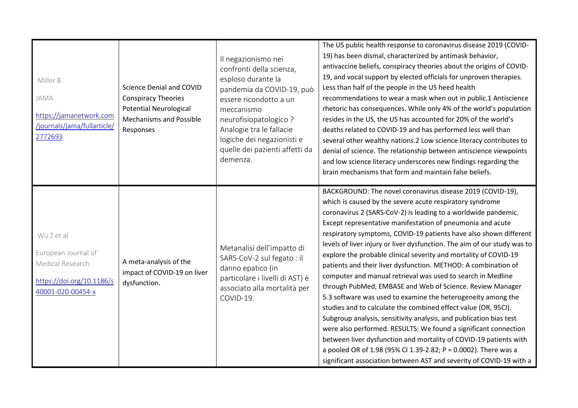| Miller B<br>JAMA<br>https://jamanetwork.com<br>/journals/jama/fullarticle/<br>2772693                   | Science Denial and COVID<br><b>Conspiracy Theories</b><br><b>Potential Neurological</b><br><b>Mechanisms and Possible</b><br>Responses | Il negazionismo nei<br>confronti della scienza,<br>esploso durante la<br>pandemia da COVID-19, può<br>essere ricondotto a un<br>meccanismo<br>neurofisiopatologico?<br>Analogie tra le fallacie<br>logiche dei negazionisti e<br>quelle dei pazienti affetti da<br>demenza. | The US public health response to coronavirus disease 2019 (COVID-<br>19) has been dismal, characterized by antimask behavior,<br>antivaccine beliefs, conspiracy theories about the origins of COVID-<br>19, and vocal support by elected officials for unproven therapies.<br>Less than half of the people in the US heed health<br>recommendations to wear a mask when out in public.1 Antiscience<br>rhetoric has consequences. While only 4% of the world's population<br>resides in the US, the US has accounted for 20% of the world's<br>deaths related to COVID-19 and has performed less well than<br>several other wealthy nations.2 Low science literacy contributes to<br>denial of science. The relationship between antiscience viewpoints<br>and low science literacy underscores new findings regarding the<br>brain mechanisms that form and maintain false beliefs.                                                                                                                                                                                                                                                                               |
|---------------------------------------------------------------------------------------------------------|----------------------------------------------------------------------------------------------------------------------------------------|-----------------------------------------------------------------------------------------------------------------------------------------------------------------------------------------------------------------------------------------------------------------------------|---------------------------------------------------------------------------------------------------------------------------------------------------------------------------------------------------------------------------------------------------------------------------------------------------------------------------------------------------------------------------------------------------------------------------------------------------------------------------------------------------------------------------------------------------------------------------------------------------------------------------------------------------------------------------------------------------------------------------------------------------------------------------------------------------------------------------------------------------------------------------------------------------------------------------------------------------------------------------------------------------------------------------------------------------------------------------------------------------------------------------------------------------------------------|
| Wu Z et al<br>European Journal of<br>Medical Research<br>https://doi.org/10.1186/s<br>40001-020-00454-x | A meta-analysis of the<br>impact of COVID-19 on liver<br>dysfunction.                                                                  | Metanalisi dell'impatto di<br>SARS-CoV-2 sul fegato : il<br>danno epatico (in<br>particolare i livelli di AST) è<br>associato alla mortalità per<br>COVID-19.                                                                                                               | BACKGROUND: The novel coronavirus disease 2019 (COVID-19),<br>which is caused by the severe acute respiratory syndrome<br>coronavirus 2 (SARS-CoV-2) is leading to a worldwide pandemic.<br>Except representative manifestation of pneumonia and acute<br>respiratory symptoms, COVID-19 patients have also shown different<br>levels of liver injury or liver dysfunction. The aim of our study was to<br>explore the probable clinical severity and mortality of COVID-19<br>patients and their liver dysfunction. METHOD: A combination of<br>computer and manual retrieval was used to search in Medline<br>through PubMed, EMBASE and Web of Science. Review Manager<br>5.3 software was used to examine the heterogeneity among the<br>studies and to calculate the combined effect value (OR, 95CI).<br>Subgroup analysis, sensitivity analysis, and publication bias test<br>were also performed. RESULTS: We found a significant connection<br>between liver dysfunction and mortality of COVID-19 patients with<br>a pooled OR of 1.98 (95% CI 1.39-2.82; P = 0.0002). There was a<br>significant association between AST and severity of COVID-19 with a |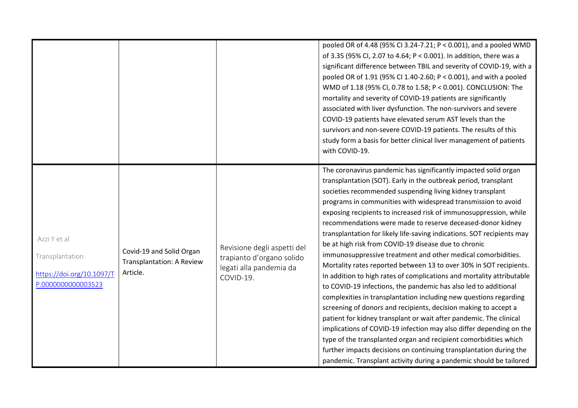|                                                                                    |                                                                   |                                                                                                  | pooled OR of 4.48 (95% CI 3.24-7.21; P < 0.001), and a pooled WMD<br>of 3.35 (95% CI, 2.07 to 4.64; P < 0.001). In addition, there was a<br>significant difference between TBIL and severity of COVID-19, with a<br>pooled OR of 1.91 (95% CI 1.40-2.60; P < 0.001), and with a pooled<br>WMD of 1.18 (95% CI, 0.78 to 1.58; P < 0.001). CONCLUSION: The<br>mortality and severity of COVID-19 patients are significantly<br>associated with liver dysfunction. The non-survivors and severe<br>COVID-19 patients have elevated serum AST levels than the<br>survivors and non-severe COVID-19 patients. The results of this<br>study form a basis for better clinical liver management of patients<br>with COVID-19.<br>The coronavirus pandemic has significantly impacted solid organ                                                                                                                                                                                                                                                                                                                                                                                                                                                                  |
|------------------------------------------------------------------------------------|-------------------------------------------------------------------|--------------------------------------------------------------------------------------------------|-----------------------------------------------------------------------------------------------------------------------------------------------------------------------------------------------------------------------------------------------------------------------------------------------------------------------------------------------------------------------------------------------------------------------------------------------------------------------------------------------------------------------------------------------------------------------------------------------------------------------------------------------------------------------------------------------------------------------------------------------------------------------------------------------------------------------------------------------------------------------------------------------------------------------------------------------------------------------------------------------------------------------------------------------------------------------------------------------------------------------------------------------------------------------------------------------------------------------------------------------------------|
| Azzi Y et al<br>Transplantation<br>https://doi.org/10.1097/T<br>P.0000000000003523 | Covid-19 and Solid Organ<br>Transplantation: A Review<br>Article. | Revisione degli aspetti del<br>trapianto d'organo solido<br>legati alla pandemia da<br>COVID-19. | transplantation (SOT). Early in the outbreak period, transplant<br>societies recommended suspending living kidney transplant<br>programs in communities with widespread transmission to avoid<br>exposing recipients to increased risk of immunosuppression, while<br>recommendations were made to reserve deceased-donor kidney<br>transplantation for likely life-saving indications. SOT recipients may<br>be at high risk from COVID-19 disease due to chronic<br>immunosuppressive treatment and other medical comorbidities.<br>Mortality rates reported between 13 to over 30% in SOT recipients.<br>In addition to high rates of complications and mortality attributable<br>to COVID-19 infections, the pandemic has also led to additional<br>complexities in transplantation including new questions regarding<br>screening of donors and recipients, decision making to accept a<br>patient for kidney transplant or wait after pandemic. The clinical<br>implications of COVID-19 infection may also differ depending on the<br>type of the transplanted organ and recipient comorbidities which<br>further impacts decisions on continuing transplantation during the<br>pandemic. Transplant activity during a pandemic should be tailored |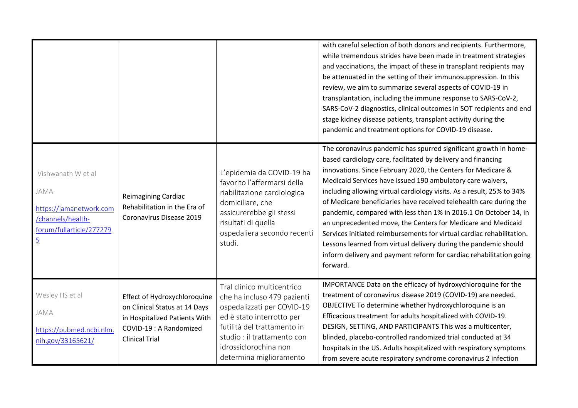|                                                                                                                          |                                                                                                                                                    |                                                                                                                                                                                                                                        | with careful selection of both donors and recipients. Furthermore,<br>while tremendous strides have been made in treatment strategies<br>and vaccinations, the impact of these in transplant recipients may<br>be attenuated in the setting of their immunosuppression. In this<br>review, we aim to summarize several aspects of COVID-19 in<br>transplantation, including the immune response to SARS-CoV-2,<br>SARS-CoV-2 diagnostics, clinical outcomes in SOT recipients and end<br>stage kidney disease patients, transplant activity during the<br>pandemic and treatment options for COVID-19 disease.                                                                                                                                                                    |
|--------------------------------------------------------------------------------------------------------------------------|----------------------------------------------------------------------------------------------------------------------------------------------------|----------------------------------------------------------------------------------------------------------------------------------------------------------------------------------------------------------------------------------------|-----------------------------------------------------------------------------------------------------------------------------------------------------------------------------------------------------------------------------------------------------------------------------------------------------------------------------------------------------------------------------------------------------------------------------------------------------------------------------------------------------------------------------------------------------------------------------------------------------------------------------------------------------------------------------------------------------------------------------------------------------------------------------------|
| Vishwanath W et al<br>JAMA<br>https://jamanetwork.com<br>/channels/health-<br>forum/fullarticle/277279<br>$\overline{5}$ | <b>Reimagining Cardiac</b><br>Rehabilitation in the Era of<br>Coronavirus Disease 2019                                                             | L'epidemia da COVID-19 ha<br>favorito l'affermarsi della<br>riabilitazione cardiologica<br>domiciliare, che<br>assicurerebbe gli stessi<br>risultati di quella<br>ospedaliera secondo recenti<br>studi.                                | The coronavirus pandemic has spurred significant growth in home-<br>based cardiology care, facilitated by delivery and financing<br>innovations. Since February 2020, the Centers for Medicare &<br>Medicaid Services have issued 190 ambulatory care waivers,<br>including allowing virtual cardiology visits. As a result, 25% to 34%<br>of Medicare beneficiaries have received telehealth care during the<br>pandemic, compared with less than 1% in 2016.1 On October 14, in<br>an unprecedented move, the Centers for Medicare and Medicaid<br>Services initiated reimbursements for virtual cardiac rehabilitation.<br>Lessons learned from virtual delivery during the pandemic should<br>inform delivery and payment reform for cardiac rehabilitation going<br>forward. |
| Wesley HS et al<br>JAMA<br>https://pubmed.ncbi.nlm.<br>nih.gov/33165621/                                                 | Effect of Hydroxychloroquine<br>on Clinical Status at 14 Days<br>in Hospitalized Patients With<br>COVID-19 : A Randomized<br><b>Clinical Trial</b> | Tral clinico multicentrico<br>che ha incluso 479 pazienti<br>ospedalizzati per COVID-19<br>ed è stato interrotto per<br>futilità del trattamento in<br>studio : il trattamento con<br>idrossiclorochina non<br>determina miglioramento | IMPORTANCE Data on the efficacy of hydroxychloroquine for the<br>treatment of coronavirus disease 2019 (COVID-19) are needed.<br>OBJECTIVE To determine whether hydroxychloroquine is an<br>Efficacious treatment for adults hospitalized with COVID-19.<br>DESIGN, SETTING, AND PARTICIPANTS This was a multicenter,<br>blinded, placebo-controlled randomized trial conducted at 34<br>hospitals in the US. Adults hospitalized with respiratory symptoms<br>from severe acute respiratory syndrome coronavirus 2 infection                                                                                                                                                                                                                                                     |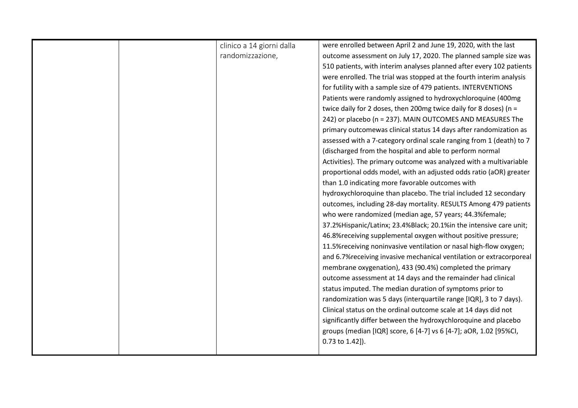|  | clinico a 14 giorni dalla | were enrolled between April 2 and June 19, 2020, with the last        |
|--|---------------------------|-----------------------------------------------------------------------|
|  | randomizzazione,          | outcome assessment on July 17, 2020. The planned sample size was      |
|  |                           | 510 patients, with interim analyses planned after every 102 patients  |
|  |                           | were enrolled. The trial was stopped at the fourth interim analysis   |
|  |                           | for futility with a sample size of 479 patients. INTERVENTIONS        |
|  |                           | Patients were randomly assigned to hydroxychloroquine (400mg)         |
|  |                           | twice daily for 2 doses, then 200mg twice daily for 8 doses) ( $n =$  |
|  |                           | 242) or placebo (n = 237). MAIN OUTCOMES AND MEASURES The             |
|  |                           | primary outcomewas clinical status 14 days after randomization as     |
|  |                           | assessed with a 7-category ordinal scale ranging from 1 (death) to 7  |
|  |                           | (discharged from the hospital and able to perform normal              |
|  |                           | Activities). The primary outcome was analyzed with a multivariable    |
|  |                           | proportional odds model, with an adjusted odds ratio (aOR) greater    |
|  |                           | than 1.0 indicating more favorable outcomes with                      |
|  |                           | hydroxychloroquine than placebo. The trial included 12 secondary      |
|  |                           | outcomes, including 28-day mortality. RESULTS Among 479 patients      |
|  |                           | who were randomized (median age, 57 years; 44.3% female;              |
|  |                           | 37.2% Hispanic/Latinx; 23.4% Black; 20.1% in the intensive care unit; |
|  |                           | 46.8% receiving supplemental oxygen without positive pressure;        |
|  |                           | 11.5% receiving noninvasive ventilation or nasal high-flow oxygen;    |
|  |                           | and 6.7% receiving invasive mechanical ventilation or extracorporeal  |
|  |                           | membrane oxygenation), 433 (90.4%) completed the primary              |
|  |                           | outcome assessment at 14 days and the remainder had clinical          |
|  |                           | status imputed. The median duration of symptoms prior to              |
|  |                           | randomization was 5 days (interquartile range [IQR], 3 to 7 days).    |
|  |                           | Clinical status on the ordinal outcome scale at 14 days did not       |
|  |                           | significantly differ between the hydroxychloroquine and placebo       |
|  |                           | groups (median [IQR] score, 6 [4-7] vs 6 [4-7]; aOR, 1.02 [95%CI,     |
|  |                           | 0.73 to 1.42]).                                                       |
|  |                           |                                                                       |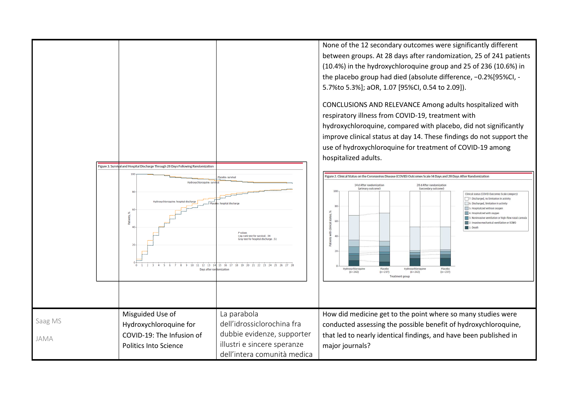None of the 12 secondary outcomes were significantly different between groups. At 28 days after randomization, 25 of 241 patients (10.4%) in the hydroxychloroquine group and 25 of 236 (10.6%) in the placebo group had died (absolute difference, −0.2%[95%CI, -5.7%to 5.3%]; aOR, 1.07 [95%CI, 0.54 to 2.09]). CONCLUSIONS AND RELEVANCE Among adults hospitalized with respiratory illness from COVID-19, treatment with hydroxychloroquine, compared with placebo, did not significantly improve clinical status at day 14. These findings do not support the use of hydroxychloroquine for treatment of COVID-19 among hospitalized adults. **Figure 3. Survival and Hospital Discharge Through 28 Days Following Randomization** Figure 2. Clinical Status on the Coronavirus Disease (COVID) Outcomes Scale 14 Days and 28 Days After Randomization lacebo: survival Hydroxychloroguine: 14 d After randomization 28 d After randomization (primary outcome) (secondary outcome) Clinical status (COVID Outcomes Scale category) 7: Discharged, no limitation in activity Hydroxychloroguine: hospital discharge · hosnital discharge 6: Discharged, limitation in activity 5: Hospitalized without oxygen 4: Hospitalized with oxyger 3: Noninvasive ventilation or high-flow nasal canne 2: Invasive mechanical ventilation or ECMO 1: Death P values Log-rank test for survival: .94 Gray test for hospital discharge: .51 3 4 5 6 7 8 9 10 11 12 13 14 15 16 17 18 19 20 21 22 23 24 25 26 27 28 Days after omizatio Hydroxychloroquine<br>(n = 242) Placeho Hydroxychloroquine Placebo<br>(n = 237)  $(n=237)$  $(n=242)$ Treatment group Misguided Use of La parabola How did medicine get to the point where so many studies were Saag MS dell'idrossiclorochina fra Hydroxychloroquine for conducted assessing the possible benefit of hydroxychloroquine, dubbie evidenze, supporter COVID-19: The Infusion of that led to nearly identical findings, and have been published in JAMA illustri e sincere speranze Politics Into Science major journals? dell'intera comunità medica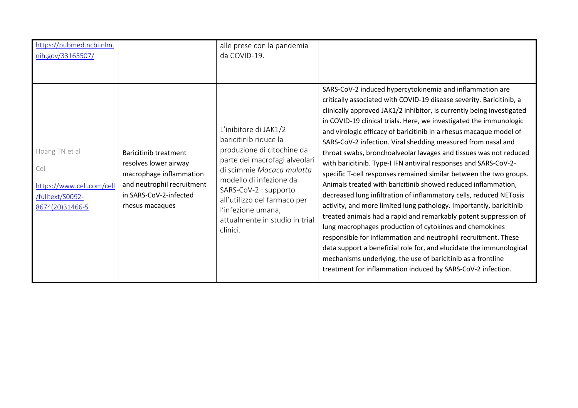| https://pubmed.ncbi.nlm.<br>nih.gov/33165507/                                              |                                                                                                                                                             | alle prese con la pandemia<br>da COVID-19.                                                                                                                                                                                                                                                         |                                                                                                                                                                                                                                                                                                                                                                                                                                                                                                                                                                                                                                                                                                                                                                                                                                                                                                                                                                                                                                                                                                                                                                                                                                                           |
|--------------------------------------------------------------------------------------------|-------------------------------------------------------------------------------------------------------------------------------------------------------------|----------------------------------------------------------------------------------------------------------------------------------------------------------------------------------------------------------------------------------------------------------------------------------------------------|-----------------------------------------------------------------------------------------------------------------------------------------------------------------------------------------------------------------------------------------------------------------------------------------------------------------------------------------------------------------------------------------------------------------------------------------------------------------------------------------------------------------------------------------------------------------------------------------------------------------------------------------------------------------------------------------------------------------------------------------------------------------------------------------------------------------------------------------------------------------------------------------------------------------------------------------------------------------------------------------------------------------------------------------------------------------------------------------------------------------------------------------------------------------------------------------------------------------------------------------------------------|
| Hoang TN et al<br>Cell<br>https://www.cell.com/cell<br>/fulltext/S0092-<br>8674(20)31466-5 | <b>Baricitinib treatment</b><br>resolves lower airway<br>macrophage inflammation<br>and neutrophil recruitment<br>in SARS-CoV-2-infected<br>rhesus macaques | L'inibitore di JAK1/2<br>baricitinib riduce la<br>produzione di citochine da<br>parte dei macrofagi alveolari<br>di scimmie Macaca mulatta<br>modello di infezione da<br>SARS-CoV-2 : supporto<br>all'utilizzo del farmaco per<br>l'infezione umana,<br>attualmente in studio in trial<br>clinici. | SARS-CoV-2 induced hypercytokinemia and inflammation are<br>critically associated with COVID-19 disease severity. Baricitinib, a<br>clinically approved JAK1/2 inhibitor, is currently being investigated<br>in COVID-19 clinical trials. Here, we investigated the immunologic<br>and virologic efficacy of baricitinib in a rhesus macaque model of<br>SARS-CoV-2 infection. Viral shedding measured from nasal and<br>throat swabs, bronchoalveolar lavages and tissues was not reduced<br>with baricitinib. Type-I IFN antiviral responses and SARS-CoV-2-<br>specific T-cell responses remained similar between the two groups.<br>Animals treated with baricitinib showed reduced inflammation,<br>decreased lung infiltration of inflammatory cells, reduced NETosis<br>activity, and more limited lung pathology. Importantly, baricitinib<br>treated animals had a rapid and remarkably potent suppression of<br>lung macrophages production of cytokines and chemokines<br>responsible for inflammation and neutrophil recruitment. These<br>data support a beneficial role for, and elucidate the immunological<br>mechanisms underlying, the use of baricitinib as a frontline<br>treatment for inflammation induced by SARS-CoV-2 infection. |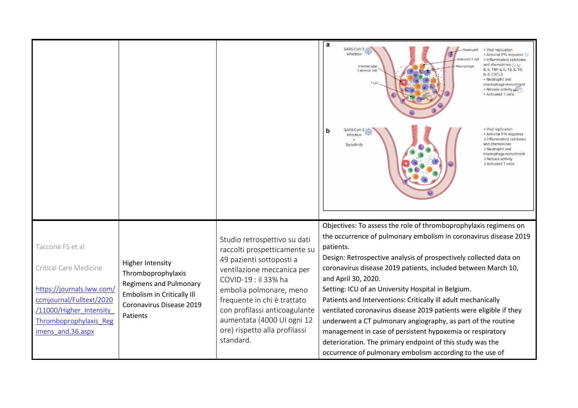|                                                                                                                                                                               |                                                                                                                                                      |                                                                                                                                                                                                                                                                                                                       | SARS-CoV-2:<br>+ Viral replication<br>Neutrophi<br>infection<br>+ Antiviral IFN response<br>ctivated T ce<br>+ Inflammatory cytokines<br>and chemokines: : : ::<br>Infected type<br>Macrophage<br>IL-6, TNF-α, IL-1β, IL-10,<br>Il alveolar cell<br>IL-8, CXCL3<br>+ Neutrophil and<br>macrophage recruitment<br>+ Netosis activity<br>+ Activated T cells<br>+ Viral replication<br>SARS-CoV-2-<br>b<br>+ Antiviral IFN response<br>infection<br>↓ Inflammatory cytokines<br>and chemokines<br><b>Baricitinib</b><br><b>↓ Neutrophil and</b><br>macrophage recruitment<br><b>↓ Netosis activity</b><br><b>↓ Activated T cells</b>                                                                                                                                |
|-------------------------------------------------------------------------------------------------------------------------------------------------------------------------------|------------------------------------------------------------------------------------------------------------------------------------------------------|-----------------------------------------------------------------------------------------------------------------------------------------------------------------------------------------------------------------------------------------------------------------------------------------------------------------------|-------------------------------------------------------------------------------------------------------------------------------------------------------------------------------------------------------------------------------------------------------------------------------------------------------------------------------------------------------------------------------------------------------------------------------------------------------------------------------------------------------------------------------------------------------------------------------------------------------------------------------------------------------------------------------------------------------------------------------------------------------------------|
| Taccone FS et al<br>Critical Care Medicine<br>https://journals.lww.com/<br>ccmjournal/Fulltext/2020<br>/11000/Higher Intensity<br>Thromboprophylaxis_Reg<br>imens_and.36.aspx | <b>Higher Intensity</b><br>Thromboprophylaxis<br><b>Regimens and Pulmonary</b><br>Embolism in Critically III<br>Coronavirus Disease 2019<br>Patients | Studio retrospettivo su dati<br>raccolti prospetticamente su<br>49 pazienti sottoposti a<br>ventilazione meccanica per<br>COVID-19 : il 33% ha<br>embolia polmonare, meno<br>frequente in chi è trattato<br>con profilassi anticoagulante<br>aumentata (4000 UI ogni 12<br>ore) rispetto alla profilassi<br>standard. | Objectives: To assess the role of thromboprophylaxis regimens on<br>the occurrence of pulmonary embolism in coronavirus disease 2019<br>patients.<br>Design: Retrospective analysis of prospectively collected data on<br>coronavirus disease 2019 patients, included between March 10,<br>and April 30, 2020.<br>Setting: ICU of an University Hospital in Belgium.<br>Patients and Interventions: Critically ill adult mechanically<br>ventilated coronavirus disease 2019 patients were eligible if they<br>underwent a CT pulmonary angiography, as part of the routine<br>management in case of persistent hypoxemia or respiratory<br>deterioration. The primary endpoint of this study was the<br>occurrence of pulmonary embolism according to the use of |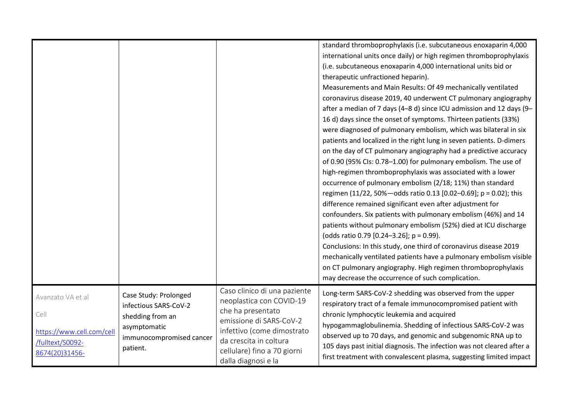|                                                                                              |                                                                                                                            |                                                                                                                                                                                                                        | standard thromboprophylaxis (i.e. subcutaneous enoxaparin 4,000<br>international units once daily) or high regimen thromboprophylaxis<br>(i.e. subcutaneous enoxaparin 4,000 international units bid or<br>therapeutic unfractioned heparin).<br>Measurements and Main Results: Of 49 mechanically ventilated<br>coronavirus disease 2019, 40 underwent CT pulmonary angiography<br>after a median of 7 days (4-8 d) since ICU admission and 12 days (9-<br>16 d) days since the onset of symptoms. Thirteen patients (33%)<br>were diagnosed of pulmonary embolism, which was bilateral in six<br>patients and localized in the right lung in seven patients. D-dimers<br>on the day of CT pulmonary angiography had a predictive accuracy<br>of 0.90 (95% Cls: 0.78-1.00) for pulmonary embolism. The use of<br>high-regimen thromboprophylaxis was associated with a lower<br>occurrence of pulmonary embolism (2/18; 11%) than standard<br>regimen (11/22, 50%-odds ratio 0.13 [0.02-0.69]; p = 0.02); this<br>difference remained significant even after adjustment for<br>confounders. Six patients with pulmonary embolism (46%) and 14<br>patients without pulmonary embolism (52%) died at ICU discharge<br>(odds ratio 0.79 [0.24-3.26]; $p = 0.99$ ).<br>Conclusions: In this study, one third of coronavirus disease 2019<br>mechanically ventilated patients have a pulmonary embolism visible<br>on CT pulmonary angiography. High regimen thromboprophylaxis<br>may decrease the occurrence of such complication. |
|----------------------------------------------------------------------------------------------|----------------------------------------------------------------------------------------------------------------------------|------------------------------------------------------------------------------------------------------------------------------------------------------------------------------------------------------------------------|----------------------------------------------------------------------------------------------------------------------------------------------------------------------------------------------------------------------------------------------------------------------------------------------------------------------------------------------------------------------------------------------------------------------------------------------------------------------------------------------------------------------------------------------------------------------------------------------------------------------------------------------------------------------------------------------------------------------------------------------------------------------------------------------------------------------------------------------------------------------------------------------------------------------------------------------------------------------------------------------------------------------------------------------------------------------------------------------------------------------------------------------------------------------------------------------------------------------------------------------------------------------------------------------------------------------------------------------------------------------------------------------------------------------------------------------------------------------------------------------------------------------------------|
| Avanzato VA et al<br>Cell<br>https://www.cell.com/cell<br>/fulltext/S0092-<br>8674(20)31456- | Case Study: Prolonged<br>infectious SARS-CoV-2<br>shedding from an<br>asymptomatic<br>immunocompromised cancer<br>patient. | Caso clinico di una paziente<br>neoplastica con COVID-19<br>che ha presentato<br>emissione di SARS-CoV-2<br>infettivo (come dimostrato<br>da crescita in coltura<br>cellulare) fino a 70 giorni<br>dalla diagnosi e la | Long-term SARS-CoV-2 shedding was observed from the upper<br>respiratory tract of a female immunocompromised patient with<br>chronic lymphocytic leukemia and acquired<br>hypogammaglobulinemia. Shedding of infectious SARS-CoV-2 was<br>observed up to 70 days, and genomic and subgenomic RNA up to<br>105 days past initial diagnosis. The infection was not cleared after a<br>first treatment with convalescent plasma, suggesting limited impact                                                                                                                                                                                                                                                                                                                                                                                                                                                                                                                                                                                                                                                                                                                                                                                                                                                                                                                                                                                                                                                                          |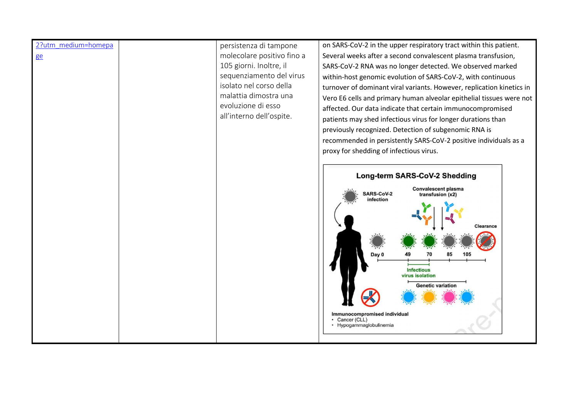## 2?utm\_medium=homepa

ge

persistenza di tampone molecolare positivo fino a 105 giorni. Inoltre, il sequenziamento del virus isolato nel corso della malattia dimostra una evoluzione di esso all'interno dell'ospite.

on SARS-CoV-2 in the upper respiratory tract within this patient. Several weeks after a second convalescent plasma transfusion, SARS-CoV-2 RNA was no longer detected. We observed marked within-host genomic evolution of SARS-CoV-2, with continuous turnover of dominant viral variants. However, replication kinetics in Vero E6 cells and primary human alveolar epithelial tissues were not affected. Our data indicate that certain immunocompromised patients may shed infectious virus for longer durations than previously recognized. Detection of subgenomic RNA is recommended in persistently SARS-CoV-2 positive individuals as a proxy for shedding of infectious virus.

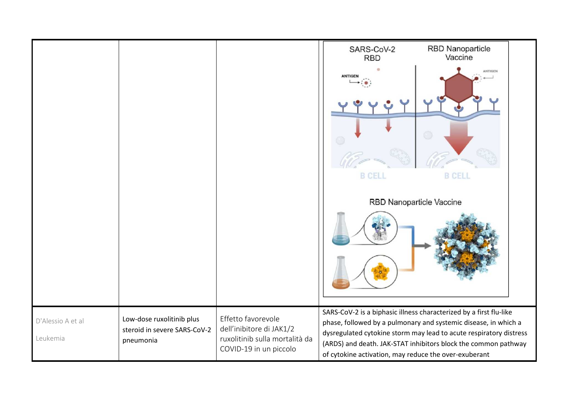|                   |                                                           |                                                                                                            | SARS-CoV-2                                                                                                                            | <b>RBD Nanoparticle</b> |  |
|-------------------|-----------------------------------------------------------|------------------------------------------------------------------------------------------------------------|---------------------------------------------------------------------------------------------------------------------------------------|-------------------------|--|
|                   |                                                           |                                                                                                            | <b>RBD</b>                                                                                                                            | Vaccine                 |  |
|                   |                                                           |                                                                                                            | <b>ANTIGE</b>                                                                                                                         | <b>ANTIGEN</b>          |  |
|                   |                                                           |                                                                                                            |                                                                                                                                       |                         |  |
|                   |                                                           |                                                                                                            |                                                                                                                                       |                         |  |
|                   |                                                           |                                                                                                            |                                                                                                                                       |                         |  |
|                   |                                                           |                                                                                                            | <b>B CELL</b>                                                                                                                         | <b>B CELL</b>           |  |
|                   |                                                           |                                                                                                            | RBD Nanoparticle Vaccine                                                                                                              |                         |  |
|                   |                                                           |                                                                                                            |                                                                                                                                       |                         |  |
|                   |                                                           |                                                                                                            |                                                                                                                                       |                         |  |
|                   |                                                           |                                                                                                            | SARS-CoV-2 is a biphasic illness characterized by a first flu-like                                                                    |                         |  |
| D'Alessio A et al | Low-dose ruxolitinib plus<br>steroid in severe SARS-CoV-2 | Effetto favorevole<br>dell'inibitore di JAK1/2<br>ruxolitinib sulla mortalità da<br>COVID-19 in un piccolo | phase, followed by a pulmonary and systemic disease, in which a<br>dysregulated cytokine storm may lead to acute respiratory distress |                         |  |
| Leukemia          | pneumonia                                                 |                                                                                                            | (ARDS) and death. JAK-STAT inhibitors block the common pathway                                                                        |                         |  |
|                   |                                                           | of cytokine activation, may reduce the over-exuberant                                                      |                                                                                                                                       |                         |  |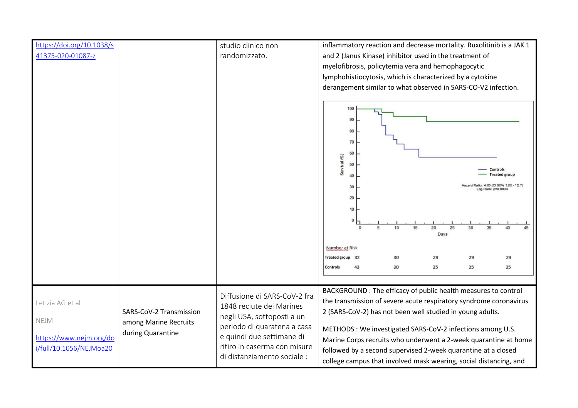| https://doi.org/10.1038/s<br>41375-020-01087-z                                 |                                                                       | studio clinico non<br>randomizzato.                                                                                                                                                                               | inflammatory reaction and decrease mortality. Ruxolitinib is a JAK 1<br>and 2 (Janus Kinase) inhibitor used in the treatment of<br>myelofibrosis, policytemia vera and hemophagocytic<br>lymphohistiocytosis, which is characterized by a cytokine<br>derangement similar to what observed in SARS-CO-V2 infection.                                                                              |  |  |
|--------------------------------------------------------------------------------|-----------------------------------------------------------------------|-------------------------------------------------------------------------------------------------------------------------------------------------------------------------------------------------------------------|--------------------------------------------------------------------------------------------------------------------------------------------------------------------------------------------------------------------------------------------------------------------------------------------------------------------------------------------------------------------------------------------------|--|--|
|                                                                                |                                                                       |                                                                                                                                                                                                                   | 100<br>90<br>80<br>70<br>60<br>Survival (%)<br>50<br><b>Controls</b><br><b>Treated group</b><br>40<br>latio: 4.65 (CI 95% 1.65 - 12.7)<br>30<br>g Rank: p=0.0034<br>20<br>10<br>$\Omega$<br>10<br>15<br>$\Omega$<br>20<br>25<br>30<br>$\overline{p}$<br>35<br>40<br>45<br>Days<br>Number at Risk<br>Treated group 32<br>29<br>30<br>29<br>29<br>43<br>30<br>25<br>25<br>25<br>Controls           |  |  |
| Letizia AG et al<br>NEJM<br>https://www.nejm.org/do<br>i/full/10.1056/NEJMoa20 | SARS-CoV-2 Transmission<br>among Marine Recruits<br>during Quarantine | Diffusione di SARS-CoV-2 fra<br>1848 reclute dei Marines<br>negli USA, sottoposti a un<br>periodo di quaratena a casa<br>e quindi due settimane di<br>ritiro in caserma con misure<br>di distanziamento sociale : | BACKGROUND: The efficacy of public health measures to control<br>the transmission of severe acute respiratory syndrome coronavirus<br>2 (SARS-CoV-2) has not been well studied in young adults.<br>METHODS: We investigated SARS-CoV-2 infections among U.S.<br>Marine Corps recruits who underwent a 2-week quarantine at home<br>followed by a second supervised 2-week quarantine at a closed |  |  |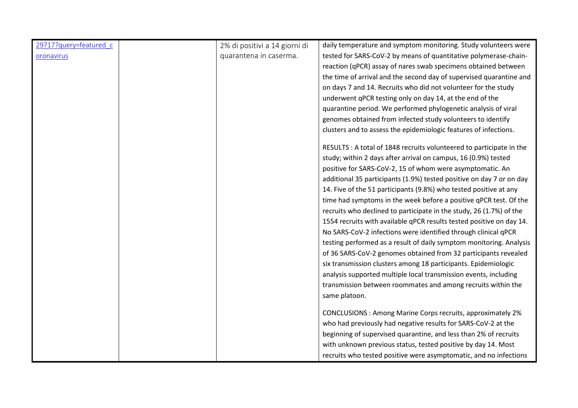| 29717?query=featured_c | 2% di positivi a 14 giorni di | daily temperature and symptom monitoring. Study volunteers were      |
|------------------------|-------------------------------|----------------------------------------------------------------------|
| oronavirus             | quarantena in caserma.        | tested for SARS-CoV-2 by means of quantitative polymerase-chain-     |
|                        |                               | reaction (qPCR) assay of nares swab specimens obtained between       |
|                        |                               | the time of arrival and the second day of supervised quarantine and  |
|                        |                               | on days 7 and 14. Recruits who did not volunteer for the study       |
|                        |                               | underwent qPCR testing only on day 14, at the end of the             |
|                        |                               | quarantine period. We performed phylogenetic analysis of viral       |
|                        |                               | genomes obtained from infected study volunteers to identify          |
|                        |                               | clusters and to assess the epidemiologic features of infections.     |
|                        |                               | RESULTS : A total of 1848 recruits volunteered to participate in the |
|                        |                               | study; within 2 days after arrival on campus, 16 (0.9%) tested       |
|                        |                               | positive for SARS-CoV-2, 15 of whom were asymptomatic. An            |
|                        |                               | additional 35 participants (1.9%) tested positive on day 7 or on day |
|                        |                               | 14. Five of the 51 participants (9.8%) who tested positive at any    |
|                        |                               | time had symptoms in the week before a positive qPCR test. Of the    |
|                        |                               | recruits who declined to participate in the study, 26 (1.7%) of the  |
|                        |                               | 1554 recruits with available qPCR results tested positive on day 14. |
|                        |                               | No SARS-CoV-2 infections were identified through clinical qPCR       |
|                        |                               | testing performed as a result of daily symptom monitoring. Analysis  |
|                        |                               | of 36 SARS-CoV-2 genomes obtained from 32 participants revealed      |
|                        |                               | six transmission clusters among 18 participants. Epidemiologic       |
|                        |                               | analysis supported multiple local transmission events, including     |
|                        |                               | transmission between roommates and among recruits within the         |
|                        |                               | same platoon.                                                        |
|                        |                               | CONCLUSIONS : Among Marine Corps recruits, approximately 2%          |
|                        |                               | who had previously had negative results for SARS-CoV-2 at the        |
|                        |                               | beginning of supervised quarantine, and less than 2% of recruits     |
|                        |                               | with unknown previous status, tested positive by day 14. Most        |
|                        |                               | recruits who tested positive were asymptomatic, and no infections    |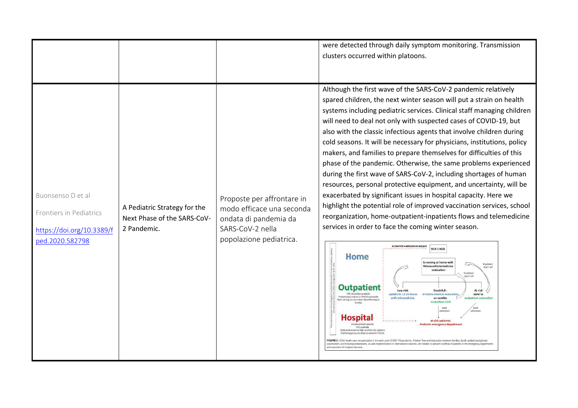|                                                                                              |                                                                            |                                                                                                                                 | were detected through daily symptom monitoring. Transmission<br>clusters occurred within platoons.                                                                                                                                                                                                                                                                                                                                                                                                                                                                                                                                                                                                                                                                                                                                                                                                                                                                                                                                                                                                                                                                                                                                                                                                                                                                                                                                                                                                                                                                                                                                                                                                                                                                                                                                                                                                                                                                                                                  |
|----------------------------------------------------------------------------------------------|----------------------------------------------------------------------------|---------------------------------------------------------------------------------------------------------------------------------|---------------------------------------------------------------------------------------------------------------------------------------------------------------------------------------------------------------------------------------------------------------------------------------------------------------------------------------------------------------------------------------------------------------------------------------------------------------------------------------------------------------------------------------------------------------------------------------------------------------------------------------------------------------------------------------------------------------------------------------------------------------------------------------------------------------------------------------------------------------------------------------------------------------------------------------------------------------------------------------------------------------------------------------------------------------------------------------------------------------------------------------------------------------------------------------------------------------------------------------------------------------------------------------------------------------------------------------------------------------------------------------------------------------------------------------------------------------------------------------------------------------------------------------------------------------------------------------------------------------------------------------------------------------------------------------------------------------------------------------------------------------------------------------------------------------------------------------------------------------------------------------------------------------------------------------------------------------------------------------------------------------------|
| Buonsenso D et al<br>Frontiers in Pediatrics<br>https://doi.org/10.3389/f<br>ped.2020.582798 | A Pediatric Strategy for the<br>Next Phase of the SARS-CoV-<br>2 Pandemic. | Proposte per affrontare in<br>modo efficace una seconda<br>ondata di pandemia da<br>SARS-CoV-2 nella<br>popolazione pediatrica. | Although the first wave of the SARS-CoV-2 pandemic relatively<br>spared children, the next winter season will put a strain on health<br>systems including pediatric services. Clinical staff managing children<br>will need to deal not only with suspected cases of COVID-19, but<br>also with the classic infectious agents that involve children during<br>cold seasons. It will be necessary for physicians, institutions, policy<br>makers, and families to prepare themselves for difficulties of this<br>phase of the pandemic. Otherwise, the same problems experienced<br>during the first wave of SARS-CoV-2, including shortages of human<br>resources, personal protective equipment, and uncertainty, will be<br>exacerbated by significant issues in hospital capacity. Here we<br>highlight the potential role of improved vaccination services, school<br>reorganization, home-outpatient-inpatients flows and telemedicine<br>services in order to face the coming winter season.<br>Acute child - ambulance transport<br><b>SICK CHILD</b><br>Home<br>Screening at home with<br>Treatmen<br><b>Advanced telemedicine</b><br>And F-UP<br>evaluation<br>Treatment<br>And F-UP<br><b>Outpatien</b><br>At risk<br>Low risk<br><b>Doubtfull</b><br>update in 12-24 hours<br>e medical eval<br>send to<br>Pediatricians trained in POCUS advisable<br>with telemedicine<br>or send to<br>cover Sam-Spin Monday!<br>outpatient Uni<br>leed<br>admission<br>Hospita<br>at-risk patients:<br>Pediatric emergency departs<br>PPE available<br>edicated areas for high and low risk patie<br>Ped Emergency physicians trained in POCUS<br>FIGURE 2   Child health care reorganization in the early post-COVID-19 pandemic. A better flow and interaction between families, family pediatrician/get<br>practitioners, and hospital pediatricians, as well impler<br>entation of telemedicine services, are needed to prevent overflow of patients in the emergency depa<br>ed saturation of hospital resource |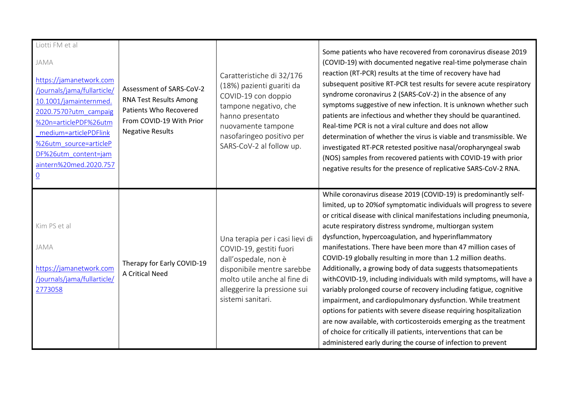| Liotti FM et al<br>JAMA<br>https://jamanetwork.com<br>/journals/jama/fullarticle/<br>10.1001/jamainternmed.<br>2020.7570?utm_campaig<br>%20n=articlePDF%26utm<br>medium=articlePDFlink<br>%26utm source=articleP<br>DF%26utm content=jam<br>aintern%20med.2020.757<br>$\underline{0}$ | Assessment of SARS-CoV-2<br>RNA Test Results Among<br>Patients Who Recovered<br>From COVID-19 With Prior<br><b>Negative Results</b> | Caratteristiche di 32/176<br>(18%) pazienti guariti da<br>COVID-19 con doppio<br>tampone negativo, che<br>hanno presentato<br>nuovamente tampone<br>nasofaringeo positivo per<br>SARS-CoV-2 al follow up. | Some patients who have recovered from coronavirus disease 2019<br>(COVID-19) with documented negative real-time polymerase chain<br>reaction (RT-PCR) results at the time of recovery have had<br>subsequent positive RT-PCR test results for severe acute respiratory<br>syndrome coronavirus 2 (SARS-CoV-2) in the absence of any<br>symptoms suggestive of new infection. It is unknown whether such<br>patients are infectious and whether they should be quarantined.<br>Real-time PCR is not a viral culture and does not allow<br>determination of whether the virus is viable and transmissible. We<br>investigated RT-PCR retested positive nasal/oropharyngeal swab<br>(NOS) samples from recovered patients with COVID-19 with prior<br>negative results for the presence of replicative SARS-CoV-2 RNA.                                                                                                                                                                                                                 |
|---------------------------------------------------------------------------------------------------------------------------------------------------------------------------------------------------------------------------------------------------------------------------------------|-------------------------------------------------------------------------------------------------------------------------------------|-----------------------------------------------------------------------------------------------------------------------------------------------------------------------------------------------------------|-------------------------------------------------------------------------------------------------------------------------------------------------------------------------------------------------------------------------------------------------------------------------------------------------------------------------------------------------------------------------------------------------------------------------------------------------------------------------------------------------------------------------------------------------------------------------------------------------------------------------------------------------------------------------------------------------------------------------------------------------------------------------------------------------------------------------------------------------------------------------------------------------------------------------------------------------------------------------------------------------------------------------------------|
| Kim PS et al<br>JAMA<br>https://jamanetwork.com<br>/journals/jama/fullarticle/<br>2773058                                                                                                                                                                                             | Therapy for Early COVID-19<br><b>A Critical Need</b>                                                                                | Una terapia per i casi lievi di<br>COVID-19, gestiti fuori<br>dall'ospedale, non è<br>disponibile mentre sarebbe<br>molto utile anche al fine di<br>alleggerire la pressione sui<br>sistemi sanitari.     | While coronavirus disease 2019 (COVID-19) is predominantly self-<br>limited, up to 20% of symptomatic individuals will progress to severe<br>or critical disease with clinical manifestations including pneumonia,<br>acute respiratory distress syndrome, multiorgan system<br>dysfunction, hypercoagulation, and hyperinflammatory<br>manifestations. There have been more than 47 million cases of<br>COVID-19 globally resulting in more than 1.2 million deaths.<br>Additionally, a growing body of data suggests thatsomepatients<br>withCOVID-19, including individuals with mild symptoms, will have a<br>variably prolonged course of recovery including fatigue, cognitive<br>impairment, and cardiopulmonary dysfunction. While treatment<br>options for patients with severe disease requiring hospitalization<br>are now available, with corticosteroids emerging as the treatment<br>of choice for critically ill patients, interventions that can be<br>administered early during the course of infection to prevent |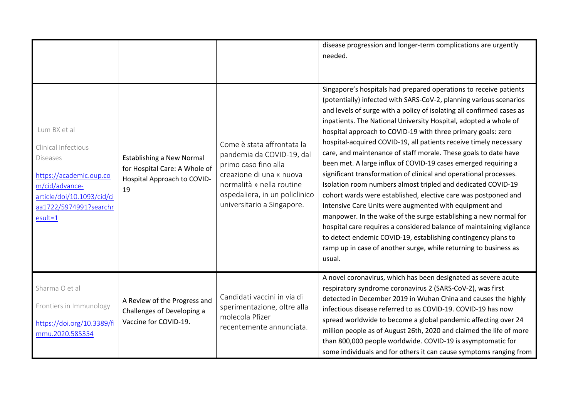|                                                                                                                                                                          |                                                                                                        |                                                                                                                                                                                                          | disease progression and longer-term complications are urgently<br>needed.                                                                                                                                                                                                                                                                                                                                                                                                                                                                                                                                                                                                                                                                                                                                                                                                                                                                                                                                                                                                                                                  |
|--------------------------------------------------------------------------------------------------------------------------------------------------------------------------|--------------------------------------------------------------------------------------------------------|----------------------------------------------------------------------------------------------------------------------------------------------------------------------------------------------------------|----------------------------------------------------------------------------------------------------------------------------------------------------------------------------------------------------------------------------------------------------------------------------------------------------------------------------------------------------------------------------------------------------------------------------------------------------------------------------------------------------------------------------------------------------------------------------------------------------------------------------------------------------------------------------------------------------------------------------------------------------------------------------------------------------------------------------------------------------------------------------------------------------------------------------------------------------------------------------------------------------------------------------------------------------------------------------------------------------------------------------|
| Lum BX et al<br>Clinical Infectious<br><b>Diseases</b><br>https://academic.oup.co<br>m/cid/advance-<br>article/doi/10.1093/cid/ci<br>aa1722/5974991?searchr<br>$esult=1$ | <b>Establishing a New Normal</b><br>for Hospital Care: A Whole of<br>Hospital Approach to COVID-<br>19 | Come è stata affrontata la<br>pandemia da COVID-19, dal<br>primo caso fino alla<br>creazione di una « nuova<br>normalità » nella routine<br>ospedaliera, in un policlinico<br>universitario a Singapore. | Singapore's hospitals had prepared operations to receive patients<br>(potentially) infected with SARS-CoV-2, planning various scenarios<br>and levels of surge with a policy of isolating all confirmed cases as<br>inpatients. The National University Hospital, adopted a whole of<br>hospital approach to COVID-19 with three primary goals: zero<br>hospital-acquired COVID-19, all patients receive timely necessary<br>care, and maintenance of staff morale. These goals to date have<br>been met. A large influx of COVID-19 cases emerged requiring a<br>significant transformation of clinical and operational processes.<br>Isolation room numbers almost tripled and dedicated COVID-19<br>cohort wards were established, elective care was postponed and<br>Intensive Care Units were augmented with equipment and<br>manpower. In the wake of the surge establishing a new normal for<br>hospital care requires a considered balance of maintaining vigilance<br>to detect endemic COVID-19, establishing contingency plans to<br>ramp up in case of another surge, while returning to business as<br>usual. |
| Sharma O et al<br>Frontiers in Immunology<br>https://doi.org/10.3389/fi<br>mmu.2020.585354                                                                               | A Review of the Progress and<br>Challenges of Developing a<br>Vaccine for COVID-19.                    | Candidati vaccini in via di<br>sperimentazione, oltre alla<br>molecola Pfizer<br>recentemente annunciata.                                                                                                | A novel coronavirus, which has been designated as severe acute<br>respiratory syndrome coronavirus 2 (SARS-CoV-2), was first<br>detected in December 2019 in Wuhan China and causes the highly<br>infectious disease referred to as COVID-19. COVID-19 has now<br>spread worldwide to become a global pandemic affecting over 24<br>million people as of August 26th, 2020 and claimed the life of more<br>than 800,000 people worldwide. COVID-19 is asymptomatic for<br>some individuals and for others it can cause symptoms ranging from                                                                                                                                                                                                                                                                                                                                                                                                                                                                                                                                                                               |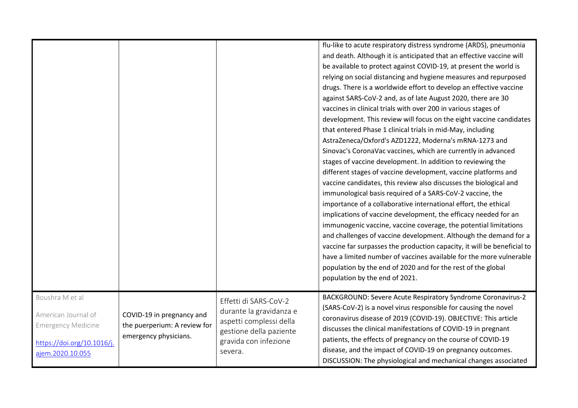|                                                                                                                       |                                                                                    |                                                                                                                                            | flu-like to acute respiratory distress syndrome (ARDS), pneumonia<br>and death. Although it is anticipated that an effective vaccine will<br>be available to protect against COVID-19, at present the world is<br>relying on social distancing and hygiene measures and repurposed<br>drugs. There is a worldwide effort to develop an effective vaccine<br>against SARS-CoV-2 and, as of late August 2020, there are 30<br>vaccines in clinical trials with over 200 in various stages of<br>development. This review will focus on the eight vaccine candidates<br>that entered Phase 1 clinical trials in mid-May, including<br>AstraZeneca/Oxford's AZD1222, Moderna's mRNA-1273 and<br>Sinovac's CoronaVac vaccines, which are currently in advanced<br>stages of vaccine development. In addition to reviewing the<br>different stages of vaccine development, vaccine platforms and<br>vaccine candidates, this review also discusses the biological and<br>immunological basis required of a SARS-CoV-2 vaccine, the<br>importance of a collaborative international effort, the ethical<br>implications of vaccine development, the efficacy needed for an<br>immunogenic vaccine, vaccine coverage, the potential limitations<br>and challenges of vaccine development. Although the demand for a<br>vaccine far surpasses the production capacity, it will be beneficial to<br>have a limited number of vaccines available for the more vulnerable<br>population by the end of 2020 and for the rest of the global<br>population by the end of 2021. |
|-----------------------------------------------------------------------------------------------------------------------|------------------------------------------------------------------------------------|--------------------------------------------------------------------------------------------------------------------------------------------|----------------------------------------------------------------------------------------------------------------------------------------------------------------------------------------------------------------------------------------------------------------------------------------------------------------------------------------------------------------------------------------------------------------------------------------------------------------------------------------------------------------------------------------------------------------------------------------------------------------------------------------------------------------------------------------------------------------------------------------------------------------------------------------------------------------------------------------------------------------------------------------------------------------------------------------------------------------------------------------------------------------------------------------------------------------------------------------------------------------------------------------------------------------------------------------------------------------------------------------------------------------------------------------------------------------------------------------------------------------------------------------------------------------------------------------------------------------------------------------------------------------------------------------------------------------|
| Boushra M et al<br>American Journal of<br><b>Emergency Medicine</b><br>https://doi.org/10.1016/j.<br>ajem.2020.10.055 | COVID-19 in pregnancy and<br>the puerperium: A review for<br>emergency physicians. | Effetti di SARS-CoV-2<br>durante la gravidanza e<br>aspetti complessi della<br>gestione della paziente<br>gravida con infezione<br>severa. | BACKGROUND: Severe Acute Respiratory Syndrome Coronavirus-2<br>(SARS-CoV-2) is a novel virus responsible for causing the novel<br>coronavirus disease of 2019 (COVID-19). OBJECTIVE: This article<br>discusses the clinical manifestations of COVID-19 in pregnant<br>patients, the effects of pregnancy on the course of COVID-19<br>disease, and the impact of COVID-19 on pregnancy outcomes.<br>DISCUSSION: The physiological and mechanical changes associated                                                                                                                                                                                                                                                                                                                                                                                                                                                                                                                                                                                                                                                                                                                                                                                                                                                                                                                                                                                                                                                                                            |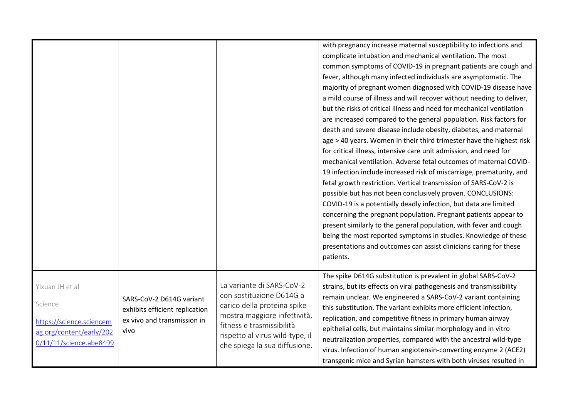|                                                                                                               |                                                                                                   |                                                                                                                                                                                                                       | with pregnancy increase maternal susceptibility to infections and<br>complicate intubation and mechanical ventilation. The most<br>common symptoms of COVID-19 in pregnant patients are cough and<br>fever, although many infected individuals are asymptomatic. The<br>majority of pregnant women diagnosed with COVID-19 disease have<br>a mild course of illness and will recover without needing to deliver,<br>but the risks of critical illness and need for mechanical ventilation<br>are increased compared to the general population. Risk factors for<br>death and severe disease include obesity, diabetes, and maternal<br>age > 40 years. Women in their third trimester have the highest risk<br>for critical illness, intensive care unit admission, and need for<br>mechanical ventilation. Adverse fetal outcomes of maternal COVID-<br>19 infection include increased risk of miscarriage, prematurity, and<br>fetal growth restriction. Vertical transmission of SARS-CoV-2 is<br>possible but has not been conclusively proven. CONCLUSIONS:<br>COVID-19 is a potentially deadly infection, but data are limited<br>concerning the pregnant population. Pregnant patients appear to<br>present similarly to the general population, with fever and cough<br>being the most reported symptoms in studies. Knowledge of these<br>presentations and outcomes can assist clinicians caring for these<br>patients. |
|---------------------------------------------------------------------------------------------------------------|---------------------------------------------------------------------------------------------------|-----------------------------------------------------------------------------------------------------------------------------------------------------------------------------------------------------------------------|-----------------------------------------------------------------------------------------------------------------------------------------------------------------------------------------------------------------------------------------------------------------------------------------------------------------------------------------------------------------------------------------------------------------------------------------------------------------------------------------------------------------------------------------------------------------------------------------------------------------------------------------------------------------------------------------------------------------------------------------------------------------------------------------------------------------------------------------------------------------------------------------------------------------------------------------------------------------------------------------------------------------------------------------------------------------------------------------------------------------------------------------------------------------------------------------------------------------------------------------------------------------------------------------------------------------------------------------------------------------------------------------------------------------------------------|
| Yixuan JH et al<br>Science<br>https://science.sciencem<br>ag.org/content/early/202<br>0/11/11/science.abe8499 | SARS-CoV-2 D614G variant<br>exhibits efficient replication<br>ex vivo and transmission in<br>vivo | La variante di SARS-CoV-2<br>con sostituzione D614G a<br>carico della proteina spike<br>mostra maggiore infettività,<br>fitness e trasmissibilità<br>rispetto al virus wild-type, il<br>che spiega la sua diffusione. | The spike D614G substitution is prevalent in global SARS-CoV-2<br>strains, but its effects on viral pathogenesis and transmissibility<br>remain unclear. We engineered a SARS-CoV-2 variant containing<br>this substitution. The variant exhibits more efficient infection,<br>replication, and competitive fitness in primary human airway<br>epithelial cells, but maintains similar morphology and in vitro<br>neutralization properties, compared with the ancestral wild-type<br>virus. Infection of human angiotensin-converting enzyme 2 (ACE2)<br>transgenic mice and Syrian hamsters with both viruses resulted in                                                                                                                                                                                                                                                                                                                                                                                                                                                                                                                                                                                                                                                                                                                                                                                                       |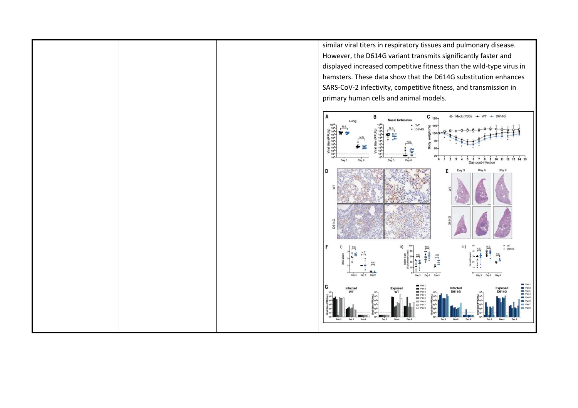similar viral titers in respiratory tissues and pulmonary disease. However, the D614G variant transmits significantly faster and displayed increased competitive fitness than the wild-type virus in hamsters. These data show that the D614G substitution enhances SARS-CoV-2 infectivity, competitive fitness, and transmission in



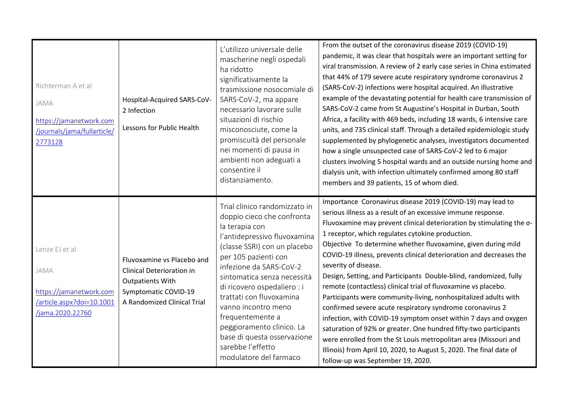| Richterman A et al<br>JAMA<br>https://jamanetwork.com<br>/journals/jama/fullarticle/<br>2773128   | Hospital-Acquired SARS-CoV-<br>2 Infection<br>Lessons for Public Health                                                                          | L'utilizzo universale delle<br>mascherine negli ospedali<br>ha ridotto<br>significativamente la<br>trasmissione nosocomiale di<br>SARS-CoV-2, ma appare<br>necessario lavorare sulle<br>situazioni di rischio<br>misconosciute, come la<br>promiscuità del personale<br>nei momenti di pausa in<br>ambienti non adeguati a<br>consentire il<br>distanziamento.                                                                                   | From the outset of the coronavirus disease 2019 (COVID-19)<br>pandemic, it was clear that hospitals were an important setting for<br>viral transmission. A review of 2 early case series in China estimated<br>that 44% of 179 severe acute respiratory syndrome coronavirus 2<br>(SARS-CoV-2) infections were hospital acquired. An illustrative<br>example of the devastating potential for health care transmission of<br>SARS-CoV-2 came from St Augustine's Hospital in Durban, South<br>Africa, a facility with 469 beds, including 18 wards, 6 intensive care<br>units, and 735 clinical staff. Through a detailed epidemiologic study<br>supplemented by phylogenetic analyses, investigators documented<br>how a single unsuspected case of SARS-CoV-2 led to 6 major<br>clusters involving 5 hospital wards and an outside nursing home and<br>dialysis unit, with infection ultimately confirmed among 80 staff<br>members and 39 patients, 15 of whom died.                                             |
|---------------------------------------------------------------------------------------------------|--------------------------------------------------------------------------------------------------------------------------------------------------|--------------------------------------------------------------------------------------------------------------------------------------------------------------------------------------------------------------------------------------------------------------------------------------------------------------------------------------------------------------------------------------------------------------------------------------------------|---------------------------------------------------------------------------------------------------------------------------------------------------------------------------------------------------------------------------------------------------------------------------------------------------------------------------------------------------------------------------------------------------------------------------------------------------------------------------------------------------------------------------------------------------------------------------------------------------------------------------------------------------------------------------------------------------------------------------------------------------------------------------------------------------------------------------------------------------------------------------------------------------------------------------------------------------------------------------------------------------------------------|
| Lenze EJ et al<br>JAMA<br>https://jamanetwork.com<br>article.aspx?doi=10.1001<br>/jama.2020.22760 | Fluvoxamine vs Placebo and<br><b>Clinical Deterioration in</b><br><b>Outpatients With</b><br>Symptomatic COVID-19<br>A Randomized Clinical Trial | Trial clinico randomizzato in<br>doppio cieco che confronta<br>la terapia con<br>l'antidepressivo fluvoxamina<br>(classe SSRI) con un placebo<br>per 105 pazienti con<br>infezione da SARS-CoV-2<br>sintomatica senza necessità<br>di ricovero ospedaliero : i<br>trattati con fluvoxamina<br>vanno incontro meno<br>frequentemente a<br>peggioramento clinico. La<br>base di questa osservazione<br>sarebbe l'effetto<br>modulatore del farmaco | Importance Coronavirus disease 2019 (COVID-19) may lead to<br>serious illness as a result of an excessive immune response.<br>Fluvoxamine may prevent clinical deterioration by stimulating the o-<br>1 receptor, which regulates cytokine production.<br>Objective To determine whether fluvoxamine, given during mild<br>COVID-19 illness, prevents clinical deterioration and decreases the<br>severity of disease.<br>Design, Setting, and Participants Double-blind, randomized, fully<br>remote (contactless) clinical trial of fluvoxamine vs placebo.<br>Participants were community-living, nonhospitalized adults with<br>confirmed severe acute respiratory syndrome coronavirus 2<br>infection, with COVID-19 symptom onset within 7 days and oxygen<br>saturation of 92% or greater. One hundred fifty-two participants<br>were enrolled from the St Louis metropolitan area (Missouri and<br>Illinois) from April 10, 2020, to August 5, 2020. The final date of<br>follow-up was September 19, 2020. |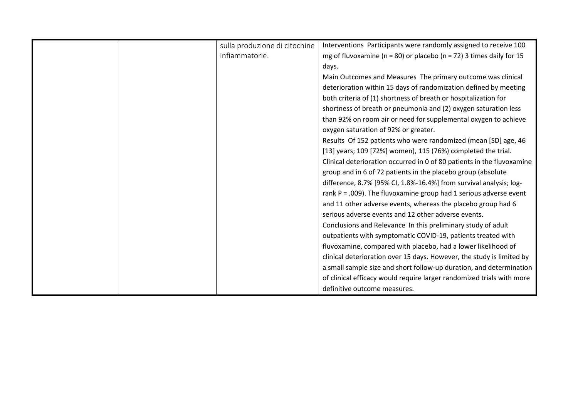|  | sulla produzione di citochine | Interventions Participants were randomly assigned to receive 100            |
|--|-------------------------------|-----------------------------------------------------------------------------|
|  | infiammatorie.                | mg of fluvoxamine ( $n = 80$ ) or placebo ( $n = 72$ ) 3 times daily for 15 |
|  |                               | days.                                                                       |
|  |                               | Main Outcomes and Measures The primary outcome was clinical                 |
|  |                               | deterioration within 15 days of randomization defined by meeting            |
|  |                               | both criteria of (1) shortness of breath or hospitalization for             |
|  |                               | shortness of breath or pneumonia and (2) oxygen saturation less             |
|  |                               | than 92% on room air or need for supplemental oxygen to achieve             |
|  |                               | oxygen saturation of 92% or greater.                                        |
|  |                               | Results Of 152 patients who were randomized (mean [SD] age, 46              |
|  |                               | [13] years; 109 [72%] women), 115 (76%) completed the trial.                |
|  |                               | Clinical deterioration occurred in 0 of 80 patients in the fluvoxamine      |
|  |                               | group and in 6 of 72 patients in the placebo group (absolute                |
|  |                               | difference, 8.7% [95% CI, 1.8%-16.4%] from survival analysis; log-          |
|  |                               | rank $P = .009$ ). The fluvoxamine group had 1 serious adverse event        |
|  |                               | and 11 other adverse events, whereas the placebo group had 6                |
|  |                               | serious adverse events and 12 other adverse events.                         |
|  |                               | Conclusions and Relevance In this preliminary study of adult                |
|  |                               | outpatients with symptomatic COVID-19, patients treated with                |
|  |                               | fluvoxamine, compared with placebo, had a lower likelihood of               |
|  |                               | clinical deterioration over 15 days. However, the study is limited by       |
|  |                               | a small sample size and short follow-up duration, and determination         |
|  |                               | of clinical efficacy would require larger randomized trials with more       |
|  |                               | definitive outcome measures.                                                |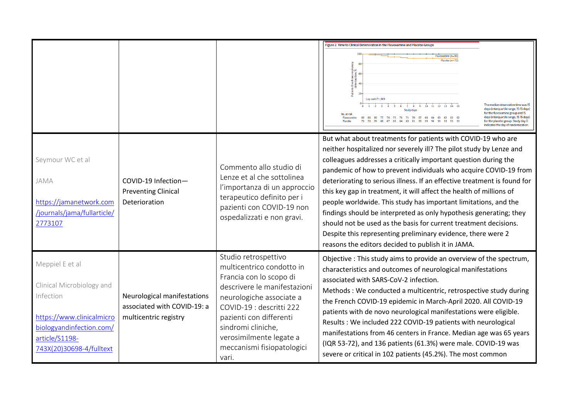|                                                                                                                                                                  |                                                                                     |                                                                                                                                                                                                                                                                                         | Figure 2. Time to Clinical Deterioration in the Fluvoxamine and Placebo Groups<br>Fluvoxamine (n = 80<br>Placebo $(n = 72)$                                                                                                                                                                                                                                                                                                                                                                                                                                                                                                                                                                                                                                      |
|------------------------------------------------------------------------------------------------------------------------------------------------------------------|-------------------------------------------------------------------------------------|-----------------------------------------------------------------------------------------------------------------------------------------------------------------------------------------------------------------------------------------------------------------------------------------|------------------------------------------------------------------------------------------------------------------------------------------------------------------------------------------------------------------------------------------------------------------------------------------------------------------------------------------------------------------------------------------------------------------------------------------------------------------------------------------------------------------------------------------------------------------------------------------------------------------------------------------------------------------------------------------------------------------------------------------------------------------|
|                                                                                                                                                                  |                                                                                     |                                                                                                                                                                                                                                                                                         | Log-rank $P = .009$<br>The median observation time was 15<br>$1\quad 2\quad 3\quad 4\quad 5$<br>7 8 9 10 11 12 13 14 15<br>days (interquartile range, 15-15 days)<br><b>Study days</b><br>for the fluvoxamine group and 15<br>days (interquartile range, 15-15 days)<br>80 80 80 77 76 75 71 71 70 67 66 64 63 62 62 62<br>Fluvoxamine<br>72 70 68 67 65 64 63 61 59 59 56<br>for the placebo group. Study day O<br>Placebo<br>indicates the day of randomization                                                                                                                                                                                                                                                                                                |
| Seymour WC et al<br>JAMA<br>https://jamanetwork.com<br>/journals/jama/fullarticle/<br>2773107                                                                    | COVID-19 Infection-<br><b>Preventing Clinical</b><br><b>Deterioration</b>           | Commento allo studio di<br>Lenze et al che sottolinea<br>l'importanza di un approccio<br>terapeutico definito per i<br>pazienti con COVID-19 non<br>ospedalizzati e non gravi.                                                                                                          | But what about treatments for patients with COVID-19 who are<br>neither hospitalized nor severely ill? The pilot study by Lenze and<br>colleagues addresses a critically important question during the<br>pandemic of how to prevent individuals who acquire COVID-19 from<br>deteriorating to serious illness. If an effective treatment is found for<br>this key gap in treatment, it will affect the health of millions of<br>people worldwide. This study has important limitations, and the<br>findings should be interpreted as only hypothesis generating; they<br>should not be used as the basis for current treatment decisions.<br>Despite this representing preliminary evidence, there were 2<br>reasons the editors decided to publish it in JAMA. |
| Meppiel E et al<br>Clinical Microbiology and<br>Infection<br>https://www.clinicalmicro<br>biologyandinfection.com/<br>article/S1198-<br>743X(20)30698-4/fulltext | Neurological manifestations<br>associated with COVID-19: a<br>multicentric registry | Studio retrospettivo<br>multicentrico condotto in<br>Francia con lo scopo di<br>descrivere le manifestazioni<br>neurologiche associate a<br>COVID-19 : descritti 222<br>pazienti con differenti<br>sindromi cliniche,<br>verosimilmente legate a<br>meccanismi fisiopatologici<br>vari. | Objective : This study aims to provide an overview of the spectrum,<br>characteristics and outcomes of neurological manifestations<br>associated with SARS-CoV-2 infection.<br>Methods: We conducted a multicentric, retrospective study during<br>the French COVID-19 epidemic in March-April 2020. All COVID-19<br>patients with de novo neurological manifestations were eligible.<br>Results: We included 222 COVID-19 patients with neurological<br>manifestations from 46 centers in France. Median age was 65 years<br>(IQR 53-72), and 136 patients (61.3%) were male. COVID-19 was<br>severe or critical in 102 patients (45.2%). The most common                                                                                                       |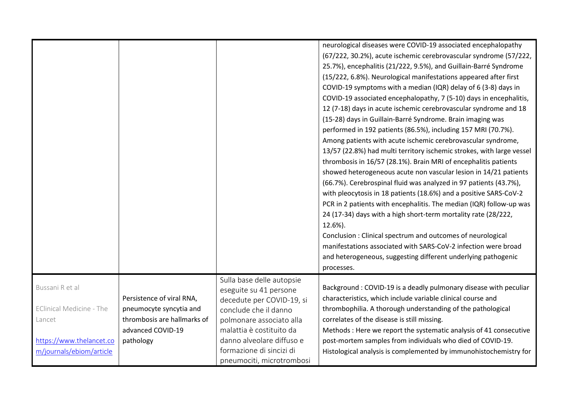|                                                                                                                      |                                                                                                                       |                                                                                                                                                                                                                                                         | neurological diseases were COVID-19 associated encephalopathy<br>(67/222, 30.2%), acute ischemic cerebrovascular syndrome (57/222,<br>25.7%), encephalitis (21/222, 9.5%), and Guillain-Barré Syndrome<br>(15/222, 6.8%). Neurological manifestations appeared after first<br>COVID-19 symptoms with a median (IQR) delay of 6 (3-8) days in<br>COVID-19 associated encephalopathy, 7 (5-10) days in encephalitis,<br>12 (7-18) days in acute ischemic cerebrovascular syndrome and 18<br>(15-28) days in Guillain-Barré Syndrome. Brain imaging was<br>performed in 192 patients (86.5%), including 157 MRI (70.7%).<br>Among patients with acute ischemic cerebrovascular syndrome,<br>13/57 (22.8%) had multi territory ischemic strokes, with large vessel<br>thrombosis in 16/57 (28.1%). Brain MRI of encephalitis patients<br>showed heterogeneous acute non vascular lesion in 14/21 patients<br>(66.7%). Cerebrospinal fluid was analyzed in 97 patients (43.7%),<br>with pleocytosis in 18 patients (18.6%) and a positive SARS-CoV-2<br>PCR in 2 patients with encephalitis. The median (IQR) follow-up was<br>24 (17-34) days with a high short-term mortality rate (28/222,<br>12.6%).<br>Conclusion: Clinical spectrum and outcomes of neurological<br>manifestations associated with SARS-CoV-2 infection were broad<br>and heterogeneous, suggesting different underlying pathogenic<br>processes. |
|----------------------------------------------------------------------------------------------------------------------|-----------------------------------------------------------------------------------------------------------------------|---------------------------------------------------------------------------------------------------------------------------------------------------------------------------------------------------------------------------------------------------------|--------------------------------------------------------------------------------------------------------------------------------------------------------------------------------------------------------------------------------------------------------------------------------------------------------------------------------------------------------------------------------------------------------------------------------------------------------------------------------------------------------------------------------------------------------------------------------------------------------------------------------------------------------------------------------------------------------------------------------------------------------------------------------------------------------------------------------------------------------------------------------------------------------------------------------------------------------------------------------------------------------------------------------------------------------------------------------------------------------------------------------------------------------------------------------------------------------------------------------------------------------------------------------------------------------------------------------------------------------------------------------------------------------------------|
| Bussani R et al<br><b>EClinical Medicine - The</b><br>Lancet<br>https://www.thelancet.co<br>m/journals/ebiom/article | Persistence of viral RNA,<br>pneumocyte syncytia and<br>thrombosis are hallmarks of<br>advanced COVID-19<br>pathology | Sulla base delle autopsie<br>eseguite su 41 persone<br>decedute per COVID-19, si<br>conclude che il danno<br>polmonare associato alla<br>malattia è costituito da<br>danno alveolare diffuso e<br>formazione di sincizi di<br>pneumociti, microtrombosi | Background: COVID-19 is a deadly pulmonary disease with peculiar<br>characteristics, which include variable clinical course and<br>thrombophilia. A thorough understanding of the pathological<br>correlates of the disease is still missing.<br>Methods : Here we report the systematic analysis of 41 consecutive<br>post-mortem samples from individuals who died of COVID-19.<br>Histological analysis is complemented by immunohistochemistry for                                                                                                                                                                                                                                                                                                                                                                                                                                                                                                                                                                                                                                                                                                                                                                                                                                                                                                                                                             |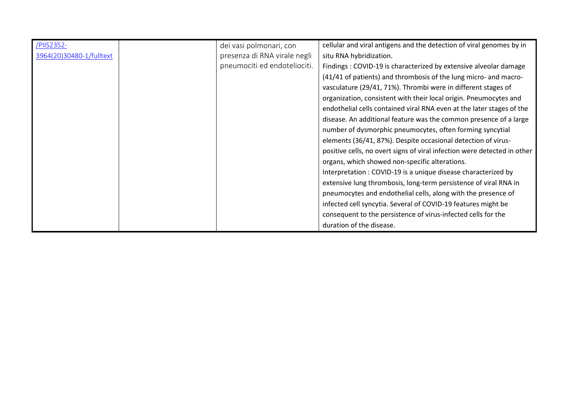| /PIIS2352-               | dei vasi polmonari, con      | cellular and viral antigens and the detection of viral genomes by in     |
|--------------------------|------------------------------|--------------------------------------------------------------------------|
| 3964(20)30480-1/fulltext | presenza di RNA virale negli | situ RNA hybridization.                                                  |
|                          | pneumociti ed endoteliociti. | Findings: COVID-19 is characterized by extensive alveolar damage         |
|                          |                              | (41/41 of patients) and thrombosis of the lung micro- and macro-         |
|                          |                              | vasculature (29/41, 71%). Thrombi were in different stages of            |
|                          |                              | organization, consistent with their local origin. Pneumocytes and        |
|                          |                              | endothelial cells contained viral RNA even at the later stages of the    |
|                          |                              | disease. An additional feature was the common presence of a large        |
|                          |                              | number of dysmorphic pneumocytes, often forming syncytial                |
|                          |                              | elements (36/41, 87%). Despite occasional detection of virus-            |
|                          |                              | positive cells, no overt signs of viral infection were detected in other |
|                          |                              | organs, which showed non-specific alterations.                           |
|                          |                              | Interpretation: COVID-19 is a unique disease characterized by            |
|                          |                              | extensive lung thrombosis, long-term persistence of viral RNA in         |
|                          |                              | pneumocytes and endothelial cells, along with the presence of            |
|                          |                              | infected cell syncytia. Several of COVID-19 features might be            |
|                          |                              | consequent to the persistence of virus-infected cells for the            |
|                          |                              | duration of the disease.                                                 |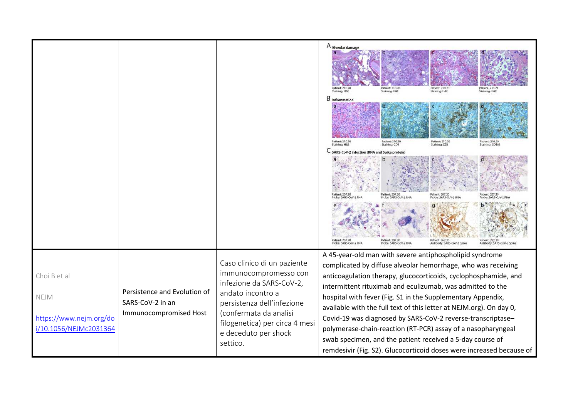|                                                                           |                                                                            |                                                                                                                                                                                                                                     | A Alveolar damage<br>Patient: 210.20<br>Staining: H&E<br>Patient: 210.20<br>Staining: H&E<br>Patient: 210.2<br>Patient: 210.2<br>Staining: H&E<br>$B$ Inflammation<br>Patient: 210.20<br>Staining: CD4<br>Patient: 210.20<br>Staining: CD8<br>Patient: 210.20<br>Staining: CD163<br>taining: H&E<br>SARS-CoV-2 Infection (RNA and Spike protein                                                                                                                                                                                                                                                                                                                     |
|---------------------------------------------------------------------------|----------------------------------------------------------------------------|-------------------------------------------------------------------------------------------------------------------------------------------------------------------------------------------------------------------------------------|---------------------------------------------------------------------------------------------------------------------------------------------------------------------------------------------------------------------------------------------------------------------------------------------------------------------------------------------------------------------------------------------------------------------------------------------------------------------------------------------------------------------------------------------------------------------------------------------------------------------------------------------------------------------|
|                                                                           |                                                                            |                                                                                                                                                                                                                                     | Patient: 207.20<br>atient: 207.20<br>Probe: SARS-CoV-2 RNA<br>Probe: SARS-CoV-2 RNA<br>Antibody: SARS-CoV-2 Spike<br>Antibody: SARS-CoV-2 Spik                                                                                                                                                                                                                                                                                                                                                                                                                                                                                                                      |
| Choi B et al<br>NEJM<br>https://www.nejm.org/do<br>i/10.1056/NEJMc2031364 | Persistence and Evolution of<br>SARS-CoV-2 in an<br>Immunocompromised Host | Caso clinico di un paziente<br>immunocompromesso con<br>infezione da SARS-CoV-2,<br>andato incontro a<br>persistenza dell'infezione<br>(confermata da analisi<br>filogenetica) per circa 4 mesi<br>e deceduto per shock<br>settico. | A 45-year-old man with severe antiphospholipid syndrome<br>complicated by diffuse alveolar hemorrhage, who was receiving<br>anticoagulation therapy, glucocorticoids, cyclophosphamide, and<br>intermittent rituximab and eculizumab, was admitted to the<br>hospital with fever (Fig. S1 in the Supplementary Appendix,<br>available with the full text of this letter at NEJM.org). On day 0,<br>Covid-19 was diagnosed by SARS-CoV-2 reverse-transcriptase-<br>polymerase-chain-reaction (RT-PCR) assay of a nasopharyngeal<br>swab specimen, and the patient received a 5-day course of<br>remdesivir (Fig. S2). Glucocorticoid doses were increased because of |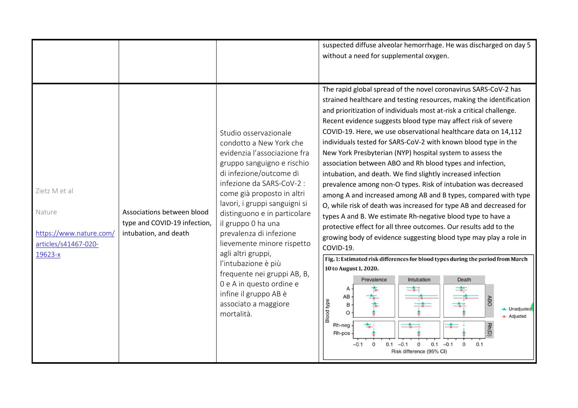|                                                                                       |                                                                                     |                                                                                                                                                                                                                                                                                                                                                                                                                                                                                                                             | suspected diffuse alveolar hemorrhage. He was discharged on day 5<br>without a need for supplemental oxygen.                                                                                                                                                                                                                                                                                                                                                                                                                                                                                                                                                                                                                                                                                                                                                                                                                                                                                                                                                                                                                                                                                                                                                                                                                                                                                                                                                        |
|---------------------------------------------------------------------------------------|-------------------------------------------------------------------------------------|-----------------------------------------------------------------------------------------------------------------------------------------------------------------------------------------------------------------------------------------------------------------------------------------------------------------------------------------------------------------------------------------------------------------------------------------------------------------------------------------------------------------------------|---------------------------------------------------------------------------------------------------------------------------------------------------------------------------------------------------------------------------------------------------------------------------------------------------------------------------------------------------------------------------------------------------------------------------------------------------------------------------------------------------------------------------------------------------------------------------------------------------------------------------------------------------------------------------------------------------------------------------------------------------------------------------------------------------------------------------------------------------------------------------------------------------------------------------------------------------------------------------------------------------------------------------------------------------------------------------------------------------------------------------------------------------------------------------------------------------------------------------------------------------------------------------------------------------------------------------------------------------------------------------------------------------------------------------------------------------------------------|
| Zietz M et al<br>Nature<br>https://www.nature.com/<br>articles/s41467-020-<br>19623-x | Associations between blood<br>type and COVID-19 infection,<br>intubation, and death | Studio osservazionale<br>condotto a New York che<br>evidenzia l'associazione fra<br>gruppo sanguigno e rischio<br>di infezione/outcome di<br>infezione da SARS-CoV-2 :<br>come già proposto in altri<br>lavori, i gruppi sanguigni si<br>distinguono e in particolare<br>il gruppo 0 ha una<br>prevalenza di infezione<br>lievemente minore rispetto<br>agli altri gruppi,<br>l'intubazione è più<br>frequente nei gruppi AB, B,<br>0 e A in questo ordine e<br>infine il gruppo AB è<br>associato a maggiore<br>mortalità. | The rapid global spread of the novel coronavirus SARS-CoV-2 has<br>strained healthcare and testing resources, making the identification<br>and prioritization of individuals most at-risk a critical challenge.<br>Recent evidence suggests blood type may affect risk of severe<br>COVID-19. Here, we use observational healthcare data on 14,112<br>individuals tested for SARS-CoV-2 with known blood type in the<br>New York Presbyterian (NYP) hospital system to assess the<br>association between ABO and Rh blood types and infection,<br>intubation, and death. We find slightly increased infection<br>prevalence among non-O types. Risk of intubation was decreased<br>among A and increased among AB and B types, compared with type<br>O, while risk of death was increased for type AB and decreased for<br>types A and B. We estimate Rh-negative blood type to have a<br>protective effect for all three outcomes. Our results add to the<br>growing body of evidence suggesting blood type may play a role in<br>COVID-19.<br>Fig. 1: Estimated risk differences for blood types during the period from March<br>10 to August 1, 2020.<br>Prevalence<br>Intubation<br>Death<br>AB<br><b>ABC</b><br><b>Blood type</b><br>$\mathsf B$<br>- Unadjusted<br>$\Omega$<br>- Adjusted<br>$\leftarrow$<br>Rh-neg<br>Rn(D)<br>Rh-pos<br>$0.1 -0.1$<br>$0.1 -0.1$<br>0.1<br>$-0.1$<br>$\mathbf 0$<br>$\mathbf{0}$<br>$\mathbf 0$<br>Risk difference (95% CI) |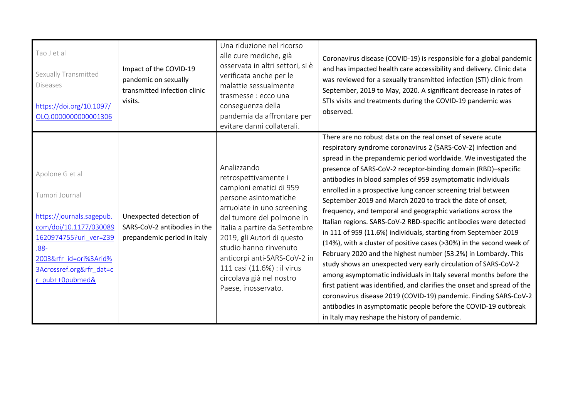| Tao J et al<br>Sexually Transmitted<br><b>Diseases</b><br>https://doi.org/10.1097/<br>OLQ.0000000000001306                                                                                       | Impact of the COVID-19<br>pandemic on sexually<br>transmitted infection clinic<br>visits. | Una riduzione nel ricorso<br>alle cure mediche, già<br>osservata in altri settori, si è<br>verificata anche per le<br>malattie sessualmente<br>trasmesse : ecco una<br>conseguenza della<br>pandemia da affrontare per<br>evitare danni collaterali.                                                                                                          | Coronavirus disease (COVID-19) is responsible for a global pandemic<br>and has impacted health care accessibility and delivery. Clinic data<br>was reviewed for a sexually transmitted infection (STI) clinic from<br>September, 2019 to May, 2020. A significant decrease in rates of<br>STIs visits and treatments during the COVID-19 pandemic was<br>observed.                                                                                                                                                                                                                                                                                                                                                                                                                                                                                                                                                                                                                                                                                                                                                                                                                                                      |
|--------------------------------------------------------------------------------------------------------------------------------------------------------------------------------------------------|-------------------------------------------------------------------------------------------|---------------------------------------------------------------------------------------------------------------------------------------------------------------------------------------------------------------------------------------------------------------------------------------------------------------------------------------------------------------|-------------------------------------------------------------------------------------------------------------------------------------------------------------------------------------------------------------------------------------------------------------------------------------------------------------------------------------------------------------------------------------------------------------------------------------------------------------------------------------------------------------------------------------------------------------------------------------------------------------------------------------------------------------------------------------------------------------------------------------------------------------------------------------------------------------------------------------------------------------------------------------------------------------------------------------------------------------------------------------------------------------------------------------------------------------------------------------------------------------------------------------------------------------------------------------------------------------------------|
| Apolone G et al<br>Tumori Journal<br>https://journals.sagepub.<br>com/doi/10.1177/030089<br>1620974755?url_ver=Z39<br>$.88 -$<br>2003𝔯_id=ori%3Arid%<br>3Acrossref.org𝔯 dat=c<br>r pub++0pubmed& | Unexpected detection of<br>SARS-CoV-2 antibodies in the<br>prepandemic period in Italy    | Analizzando<br>retrospettivamente i<br>campioni ematici di 959<br>persone asintomatiche<br>arruolate in uno screening<br>del tumore del polmone in<br>Italia a partire da Settembre<br>2019, gli Autori di questo<br>studio hanno rinvenuto<br>anticorpi anti-SARS-CoV-2 in<br>111 casi (11.6%) : il virus<br>circolava già nel nostro<br>Paese, inosservato. | There are no robust data on the real onset of severe acute<br>respiratory syndrome coronavirus 2 (SARS-CoV-2) infection and<br>spread in the prepandemic period worldwide. We investigated the<br>presence of SARS-CoV-2 receptor-binding domain (RBD)-specific<br>antibodies in blood samples of 959 asymptomatic individuals<br>enrolled in a prospective lung cancer screening trial between<br>September 2019 and March 2020 to track the date of onset,<br>frequency, and temporal and geographic variations across the<br>Italian regions. SARS-CoV-2 RBD-specific antibodies were detected<br>in 111 of 959 (11.6%) individuals, starting from September 2019<br>(14%), with a cluster of positive cases (>30%) in the second week of<br>February 2020 and the highest number (53.2%) in Lombardy. This<br>study shows an unexpected very early circulation of SARS-CoV-2<br>among asymptomatic individuals in Italy several months before the<br>first patient was identified, and clarifies the onset and spread of the<br>coronavirus disease 2019 (COVID-19) pandemic. Finding SARS-CoV-2<br>antibodies in asymptomatic people before the COVID-19 outbreak<br>in Italy may reshape the history of pandemic. |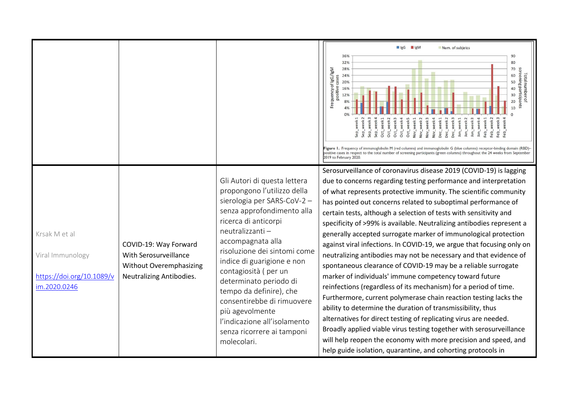|                                                                                |                                                                                                              |                                                                                                                                                                                                                                                                                                                                                                                                                                                                   | ligG ligM<br>Num. of subjetcs<br>36%<br>90<br>80<br>32%<br>28%<br>70<br>Frequency of IgG/IgM<br>screening participants<br><b>Total numbero</b><br>24%<br>60<br>g 24%<br>g 20%<br>50<br>positive<br>16%<br>40<br>30<br>12%<br>20<br>10<br>Oct_week1<br>Oct_week3<br>Dec_week 2<br>Jan_week1<br>Feb_week <sub>3</sub><br>Oct_week2<br><b>Nov_week</b><br>Sep_week<br>Sep_week<br>lov_week<br><b>Nov_week</b><br><b>Nov_week</b><br>Jec_week<br>Dec_week<br>-eb_week<br>Sep_week<br>Jan_week<br>Oct_week<br>Feb_week<br>week<br>lan_week<br>Feb_<br>$\overline{a}$<br>Figure 1. Frequency of immunoglobulin M (red columns) and immunoglobulin G (blue columns) receptor-binding domain (RBD)-<br>positive cases in respect to the total number of screening participants (green columns) throughout the 24 weeks from September<br>2019 to February 2020.                                                                                                                                                                                                                                                                                                                                                                                                    |
|--------------------------------------------------------------------------------|--------------------------------------------------------------------------------------------------------------|-------------------------------------------------------------------------------------------------------------------------------------------------------------------------------------------------------------------------------------------------------------------------------------------------------------------------------------------------------------------------------------------------------------------------------------------------------------------|------------------------------------------------------------------------------------------------------------------------------------------------------------------------------------------------------------------------------------------------------------------------------------------------------------------------------------------------------------------------------------------------------------------------------------------------------------------------------------------------------------------------------------------------------------------------------------------------------------------------------------------------------------------------------------------------------------------------------------------------------------------------------------------------------------------------------------------------------------------------------------------------------------------------------------------------------------------------------------------------------------------------------------------------------------------------------------------------------------------------------------------------------------------------------------------------------------------------------------------------------------|
| Krsak M et al<br>Viral Immunology<br>https://doi.org/10.1089/v<br>im.2020.0246 | COVID-19: Way Forward<br>With Serosurveillance<br><b>Without Overemphasizing</b><br>Neutralizing Antibodies. | Gli Autori di questa lettera<br>propongono l'utilizzo della<br>sierologia per SARS-CoV-2-<br>senza approfondimento alla<br>ricerca di anticorpi<br>neutralizzanti -<br>accompagnata alla<br>risoluzione dei sintomi come<br>indice di guarigione e non<br>contagiosità (per un<br>determinato periodo di<br>tempo da definire), che<br>consentirebbe di rimuovere<br>più agevolmente<br>l'indicazione all'isolamento<br>senza ricorrere ai tamponi<br>molecolari. | Serosurveillance of coronavirus disease 2019 (COVID-19) is lagging<br>due to concerns regarding testing performance and interpretation<br>of what represents protective immunity. The scientific community<br>has pointed out concerns related to suboptimal performance of<br>certain tests, although a selection of tests with sensitivity and<br>specificity of >99% is available. Neutralizing antibodies represent a<br>generally accepted surrogate marker of immunological protection<br>against viral infections. In COVID-19, we argue that focusing only on<br>neutralizing antibodies may not be necessary and that evidence of<br>spontaneous clearance of COVID-19 may be a reliable surrogate<br>marker of individuals' immune competency toward future<br>reinfections (regardless of its mechanism) for a period of time.<br>Furthermore, current polymerase chain reaction testing lacks the<br>ability to determine the duration of transmissibility, thus<br>alternatives for direct testing of replicating virus are needed.<br>Broadly applied viable virus testing together with serosurveillance<br>will help reopen the economy with more precision and speed, and<br>help guide isolation, quarantine, and cohorting protocols in |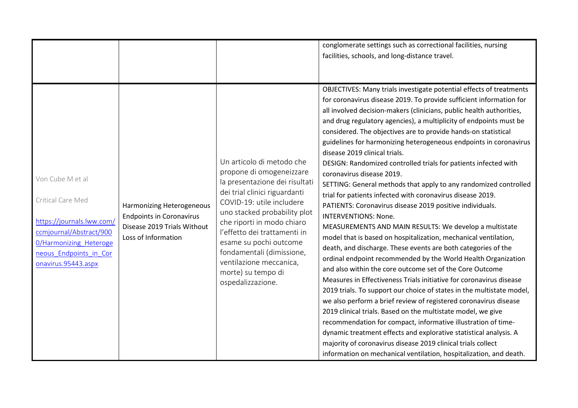|                                                                                                                                                                                 |                                                                                                                    |                                                                                                                                                                                                                                                                                                                                                                                  | conglomerate settings such as correctional facilities, nursing<br>facilities, schools, and long-distance travel.                                                                                                                                                                                                                                                                                                                                                                                                                                                                                                                                                                                                                                                                                                                                                                                                                                                                                                                                                                                                                                                                                                                                                                                                                                                                                                                                                                                                                                                                                                                                                                         |
|---------------------------------------------------------------------------------------------------------------------------------------------------------------------------------|--------------------------------------------------------------------------------------------------------------------|----------------------------------------------------------------------------------------------------------------------------------------------------------------------------------------------------------------------------------------------------------------------------------------------------------------------------------------------------------------------------------|------------------------------------------------------------------------------------------------------------------------------------------------------------------------------------------------------------------------------------------------------------------------------------------------------------------------------------------------------------------------------------------------------------------------------------------------------------------------------------------------------------------------------------------------------------------------------------------------------------------------------------------------------------------------------------------------------------------------------------------------------------------------------------------------------------------------------------------------------------------------------------------------------------------------------------------------------------------------------------------------------------------------------------------------------------------------------------------------------------------------------------------------------------------------------------------------------------------------------------------------------------------------------------------------------------------------------------------------------------------------------------------------------------------------------------------------------------------------------------------------------------------------------------------------------------------------------------------------------------------------------------------------------------------------------------------|
| Von Cube M et al<br>Critical Care Med<br>https://journals.lww.com/<br>ccmjournal/Abstract/900<br><b>0/Harmonizing Heteroge</b><br>neous Endpoints in Cor<br>onavirus.95443.aspx | Harmonizing Heterogeneous<br><b>Endpoints in Coronavirus</b><br>Disease 2019 Trials Without<br>Loss of Information | Un articolo di metodo che<br>propone di omogeneizzare<br>la presentazione dei risultati<br>dei trial clinici riguardanti<br>COVID-19: utile includere<br>uno stacked probability plot<br>che riporti in modo chiaro<br>l'effetto dei trattamenti in<br>esame su pochi outcome<br>fondamentali (dimissione,<br>ventilazione meccanica,<br>morte) su tempo di<br>ospedalizzazione. | OBJECTIVES: Many trials investigate potential effects of treatments<br>for coronavirus disease 2019. To provide sufficient information for<br>all involved decision-makers (clinicians, public health authorities,<br>and drug regulatory agencies), a multiplicity of endpoints must be<br>considered. The objectives are to provide hands-on statistical<br>guidelines for harmonizing heterogeneous endpoints in coronavirus<br>disease 2019 clinical trials.<br>DESIGN: Randomized controlled trials for patients infected with<br>coronavirus disease 2019.<br>SETTING: General methods that apply to any randomized controlled<br>trial for patients infected with coronavirus disease 2019.<br>PATIENTS: Coronavirus disease 2019 positive individuals.<br><b>INTERVENTIONS: None.</b><br>MEASUREMENTS AND MAIN RESULTS: We develop a multistate<br>model that is based on hospitalization, mechanical ventilation,<br>death, and discharge. These events are both categories of the<br>ordinal endpoint recommended by the World Health Organization<br>and also within the core outcome set of the Core Outcome<br>Measures in Effectiveness Trials initiative for coronavirus disease<br>2019 trials. To support our choice of states in the multistate model,<br>we also perform a brief review of registered coronavirus disease<br>2019 clinical trials. Based on the multistate model, we give<br>recommendation for compact, informative illustration of time-<br>dynamic treatment effects and explorative statistical analysis. A<br>majority of coronavirus disease 2019 clinical trials collect<br>information on mechanical ventilation, hospitalization, and death. |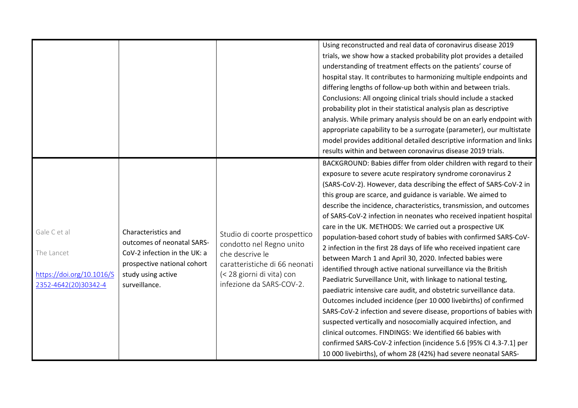|                                                                                 |                                                                                                                                                         |                                                                                                                                                                       | Using reconstructed and real data of coronavirus disease 2019<br>trials, we show how a stacked probability plot provides a detailed<br>understanding of treatment effects on the patients' course of<br>hospital stay. It contributes to harmonizing multiple endpoints and<br>differing lengths of follow-up both within and between trials.<br>Conclusions: All ongoing clinical trials should include a stacked<br>probability plot in their statistical analysis plan as descriptive<br>analysis. While primary analysis should be on an early endpoint with<br>appropriate capability to be a surrogate (parameter), our multistate<br>model provides additional detailed descriptive information and links<br>results within and between coronavirus disease 2019 trials.<br>BACKGROUND: Babies differ from older children with regard to their                                                                                                                                                                                                                                                                                                                                                                                           |
|---------------------------------------------------------------------------------|---------------------------------------------------------------------------------------------------------------------------------------------------------|-----------------------------------------------------------------------------------------------------------------------------------------------------------------------|-------------------------------------------------------------------------------------------------------------------------------------------------------------------------------------------------------------------------------------------------------------------------------------------------------------------------------------------------------------------------------------------------------------------------------------------------------------------------------------------------------------------------------------------------------------------------------------------------------------------------------------------------------------------------------------------------------------------------------------------------------------------------------------------------------------------------------------------------------------------------------------------------------------------------------------------------------------------------------------------------------------------------------------------------------------------------------------------------------------------------------------------------------------------------------------------------------------------------------------------------|
| Gale C et al<br>The Lancet<br>https://doi.org/10.1016/S<br>2352-4642(20)30342-4 | Characteristics and<br>outcomes of neonatal SARS-<br>CoV-2 infection in the UK: a<br>prospective national cohort<br>study using active<br>surveillance. | Studio di coorte prospettico<br>condotto nel Regno unito<br>che descrive le<br>caratteristiche di 66 neonati<br>(< 28 giorni di vita) con<br>infezione da SARS-COV-2. | exposure to severe acute respiratory syndrome coronavirus 2<br>(SARS-CoV-2). However, data describing the effect of SARS-CoV-2 in<br>this group are scarce, and guidance is variable. We aimed to<br>describe the incidence, characteristics, transmission, and outcomes<br>of SARS-CoV-2 infection in neonates who received inpatient hospital<br>care in the UK. METHODS: We carried out a prospective UK<br>population-based cohort study of babies with confirmed SARS-CoV-<br>2 infection in the first 28 days of life who received inpatient care<br>between March 1 and April 30, 2020. Infected babies were<br>identified through active national surveillance via the British<br>Paediatric Surveillance Unit, with linkage to national testing,<br>paediatric intensive care audit, and obstetric surveillance data.<br>Outcomes included incidence (per 10 000 livebirths) of confirmed<br>SARS-CoV-2 infection and severe disease, proportions of babies with<br>suspected vertically and nosocomially acquired infection, and<br>clinical outcomes. FINDINGS: We identified 66 babies with<br>confirmed SARS-CoV-2 infection (incidence 5.6 [95% CI 4.3-7.1] per<br>10 000 livebirths), of whom 28 (42%) had severe neonatal SARS- |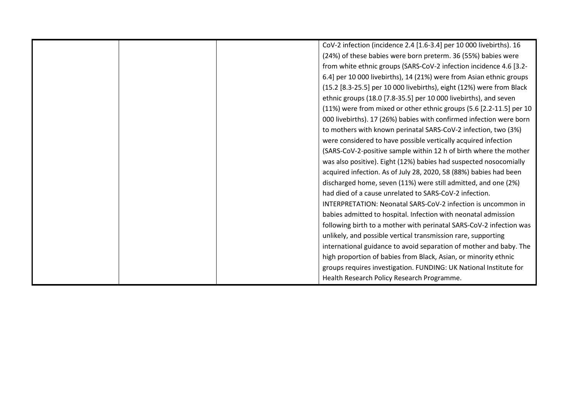|  | CoV-2 infection (incidence 2.4 [1.6-3.4] per 10 000 livebirths). 16  |
|--|----------------------------------------------------------------------|
|  | (24%) of these babies were born preterm. 36 (55%) babies were        |
|  | from white ethnic groups (SARS-CoV-2 infection incidence 4.6 [3.2-   |
|  | 6.4] per 10 000 livebirths), 14 (21%) were from Asian ethnic groups  |
|  | (15.2 [8.3-25.5] per 10 000 livebirths), eight (12%) were from Black |
|  | ethnic groups (18.0 [7.8-35.5] per 10 000 livebirths), and seven     |
|  | (11%) were from mixed or other ethnic groups (5.6 [2.2-11.5] per 10  |
|  | 000 livebirths). 17 (26%) babies with confirmed infection were born  |
|  | to mothers with known perinatal SARS-CoV-2 infection, two (3%)       |
|  | were considered to have possible vertically acquired infection       |
|  | (SARS-CoV-2-positive sample within 12 h of birth where the mother    |
|  | was also positive). Eight (12%) babies had suspected nosocomially    |
|  | acquired infection. As of July 28, 2020, 58 (88%) babies had been    |
|  | discharged home, seven (11%) were still admitted, and one (2%)       |
|  | had died of a cause unrelated to SARS-CoV-2 infection.               |
|  | INTERPRETATION: Neonatal SARS-CoV-2 infection is uncommon in         |
|  | babies admitted to hospital. Infection with neonatal admission       |
|  | following birth to a mother with perinatal SARS-CoV-2 infection was  |
|  | unlikely, and possible vertical transmission rare, supporting        |
|  | international guidance to avoid separation of mother and baby. The   |
|  | high proportion of babies from Black, Asian, or minority ethnic      |
|  | groups requires investigation. FUNDING: UK National Institute for    |
|  | Health Research Policy Research Programme.                           |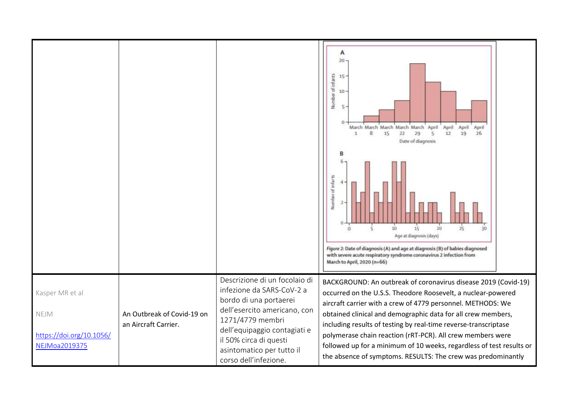|                                                                      |                                                    |                                                                                                                                                                                                                                                          | А<br>20 <sub>1</sub><br>Number of infants<br>15<br>10<br>5<br>March March March March March April<br>April<br>April<br>April<br>22<br>29<br>19<br>8<br>15<br>12<br>26<br>1<br>s<br>Date of diagnosis<br>Number of infarts<br>25<br>10<br>15<br>20<br>30<br>$^{\circ}$<br>5<br>Age at diagnosis (days)<br>Figure 2: Date of diagnosis (A) and age at diagnosis (B) of babies diagnosed<br>with severe acute respiratory syndrome coronavirus 2 infection from<br>March to April, 2020 (n=66)                                            |
|----------------------------------------------------------------------|----------------------------------------------------|----------------------------------------------------------------------------------------------------------------------------------------------------------------------------------------------------------------------------------------------------------|----------------------------------------------------------------------------------------------------------------------------------------------------------------------------------------------------------------------------------------------------------------------------------------------------------------------------------------------------------------------------------------------------------------------------------------------------------------------------------------------------------------------------------------|
| Kasper MR et al<br>NEJM<br>https://doi.org/10.1056/<br>NEJMoa2019375 | An Outbreak of Covid-19 on<br>an Aircraft Carrier. | Descrizione di un focolaio di<br>infezione da SARS-CoV-2 a<br>bordo di una portaerei<br>dell'esercito americano, con<br>1271/4779 membri<br>dell'equipaggio contagiati e<br>il 50% circa di questi<br>asintomatico per tutto il<br>corso dell'infezione. | BACKGROUND: An outbreak of coronavirus disease 2019 (Covid-19)<br>occurred on the U.S.S. Theodore Roosevelt, a nuclear-powered<br>aircraft carrier with a crew of 4779 personnel. METHODS: We<br>obtained clinical and demographic data for all crew members,<br>including results of testing by real-time reverse-transcriptase<br>polymerase chain reaction (rRT-PCR). All crew members were<br>followed up for a minimum of 10 weeks, regardless of test results or<br>the absence of symptoms. RESULTS: The crew was predominantly |